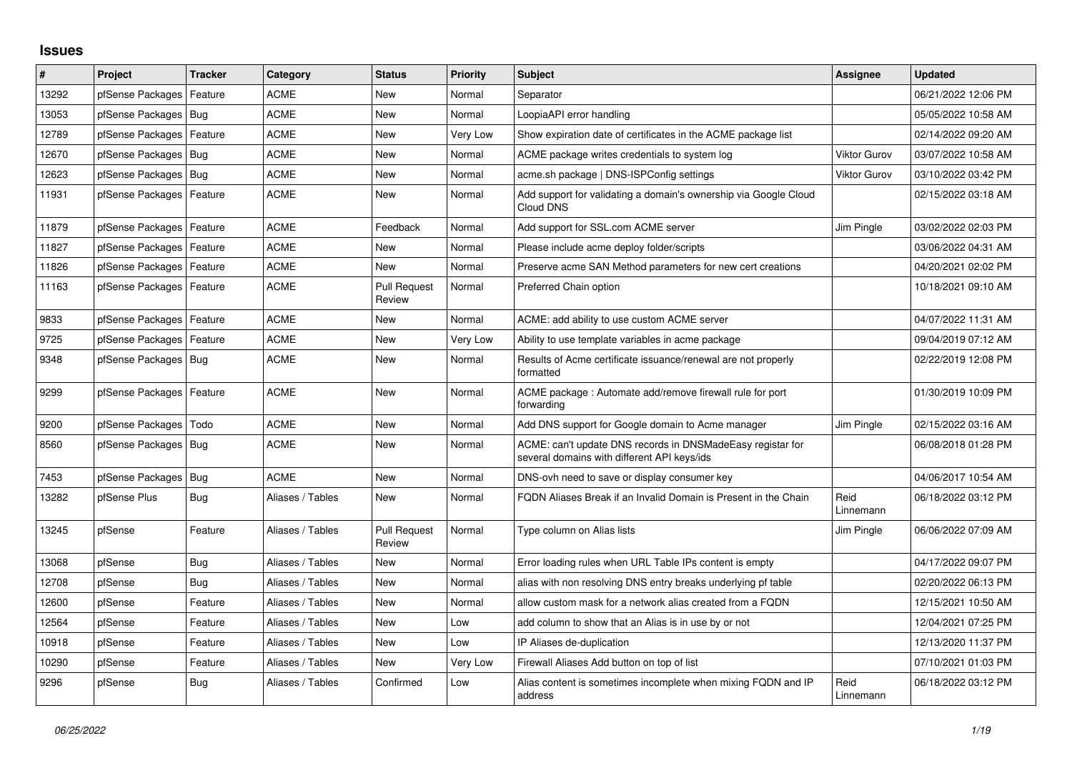## **Issues**

| #     | Project                    | <b>Tracker</b> | Category         | <b>Status</b>                 | <b>Priority</b> | <b>Subject</b>                                                                                            | Assignee            | <b>Updated</b>      |
|-------|----------------------------|----------------|------------------|-------------------------------|-----------------|-----------------------------------------------------------------------------------------------------------|---------------------|---------------------|
| 13292 | pfSense Packages           | Feature        | <b>ACME</b>      | <b>New</b>                    | Normal          | Separator                                                                                                 |                     | 06/21/2022 12:06 PM |
| 13053 | pfSense Packages           | Bug            | <b>ACME</b>      | <b>New</b>                    | Normal          | LoopiaAPI error handling                                                                                  |                     | 05/05/2022 10:58 AM |
| 12789 | pfSense Packages           | Feature        | <b>ACME</b>      | New                           | Very Low        | Show expiration date of certificates in the ACME package list                                             |                     | 02/14/2022 09:20 AM |
| 12670 | pfSense Packages           | Bug            | <b>ACME</b>      | <b>New</b>                    | Normal          | ACME package writes credentials to system log                                                             | Viktor Gurov        | 03/07/2022 10:58 AM |
| 12623 | pfSense Packages           | Bug            | <b>ACME</b>      | <b>New</b>                    | Normal          | acme.sh package   DNS-ISPConfig settings                                                                  | <b>Viktor Gurov</b> | 03/10/2022 03:42 PM |
| 11931 | pfSense Packages   Feature |                | <b>ACME</b>      | New                           | Normal          | Add support for validating a domain's ownership via Google Cloud<br>Cloud DNS                             |                     | 02/15/2022 03:18 AM |
| 11879 | pfSense Packages   Feature |                | <b>ACME</b>      | Feedback                      | Normal          | Add support for SSL.com ACME server                                                                       | Jim Pingle          | 03/02/2022 02:03 PM |
| 11827 | pfSense Packages           | Feature        | <b>ACME</b>      | <b>New</b>                    | Normal          | Please include acme deploy folder/scripts                                                                 |                     | 03/06/2022 04:31 AM |
| 11826 | pfSense Packages           | Feature        | ACME             | <b>New</b>                    | Normal          | Preserve acme SAN Method parameters for new cert creations                                                |                     | 04/20/2021 02:02 PM |
| 11163 | pfSense Packages   Feature |                | <b>ACME</b>      | <b>Pull Request</b><br>Review | Normal          | Preferred Chain option                                                                                    |                     | 10/18/2021 09:10 AM |
| 9833  | pfSense Packages           | Feature        | <b>ACME</b>      | New                           | Normal          | ACME: add ability to use custom ACME server                                                               |                     | 04/07/2022 11:31 AM |
| 9725  | pfSense Packages           | Feature        | <b>ACME</b>      | New                           | Very Low        | Ability to use template variables in acme package                                                         |                     | 09/04/2019 07:12 AM |
| 9348  | pfSense Packages   Bug     |                | <b>ACME</b>      | <b>New</b>                    | Normal          | Results of Acme certificate issuance/renewal are not properly<br>formatted                                |                     | 02/22/2019 12:08 PM |
| 9299  | pfSense Packages           | Feature        | <b>ACME</b>      | <b>New</b>                    | Normal          | ACME package: Automate add/remove firewall rule for port<br>forwarding                                    |                     | 01/30/2019 10:09 PM |
| 9200  | pfSense Packages           | Todo           | <b>ACME</b>      | <b>New</b>                    | Normal          | Add DNS support for Google domain to Acme manager                                                         | Jim Pingle          | 02/15/2022 03:16 AM |
| 8560  | pfSense Packages   Bug     |                | <b>ACME</b>      | <b>New</b>                    | Normal          | ACME: can't update DNS records in DNSMadeEasy registar for<br>several domains with different API keys/ids |                     | 06/08/2018 01:28 PM |
| 7453  | pfSense Packages   Bug     |                | <b>ACME</b>      | <b>New</b>                    | Normal          | DNS-ovh need to save or display consumer key                                                              |                     | 04/06/2017 10:54 AM |
| 13282 | pfSense Plus               | <b>Bug</b>     | Aliases / Tables | <b>New</b>                    | Normal          | FQDN Aliases Break if an Invalid Domain is Present in the Chain                                           | Reid<br>Linnemann   | 06/18/2022 03:12 PM |
| 13245 | pfSense                    | Feature        | Aliases / Tables | <b>Pull Request</b><br>Review | Normal          | Type column on Alias lists                                                                                | Jim Pingle          | 06/06/2022 07:09 AM |
| 13068 | pfSense                    | <b>Bug</b>     | Aliases / Tables | New                           | Normal          | Error loading rules when URL Table IPs content is empty                                                   |                     | 04/17/2022 09:07 PM |
| 12708 | pfSense                    | Bug            | Aliases / Tables | New                           | Normal          | alias with non resolving DNS entry breaks underlying pf table                                             |                     | 02/20/2022 06:13 PM |
| 12600 | pfSense                    | Feature        | Aliases / Tables | <b>New</b>                    | Normal          | allow custom mask for a network alias created from a FQDN                                                 |                     | 12/15/2021 10:50 AM |
| 12564 | pfSense                    | Feature        | Aliases / Tables | <b>New</b>                    | Low             | add column to show that an Alias is in use by or not                                                      |                     | 12/04/2021 07:25 PM |
| 10918 | pfSense                    | Feature        | Aliases / Tables | <b>New</b>                    | Low             | IP Aliases de-duplication                                                                                 |                     | 12/13/2020 11:37 PM |
| 10290 | pfSense                    | Feature        | Aliases / Tables | <b>New</b>                    | Very Low        | Firewall Aliases Add button on top of list                                                                |                     | 07/10/2021 01:03 PM |
| 9296  | pfSense                    | Bug            | Aliases / Tables | Confirmed                     | Low             | Alias content is sometimes incomplete when mixing FQDN and IP<br>address                                  | Reid<br>Linnemann   | 06/18/2022 03:12 PM |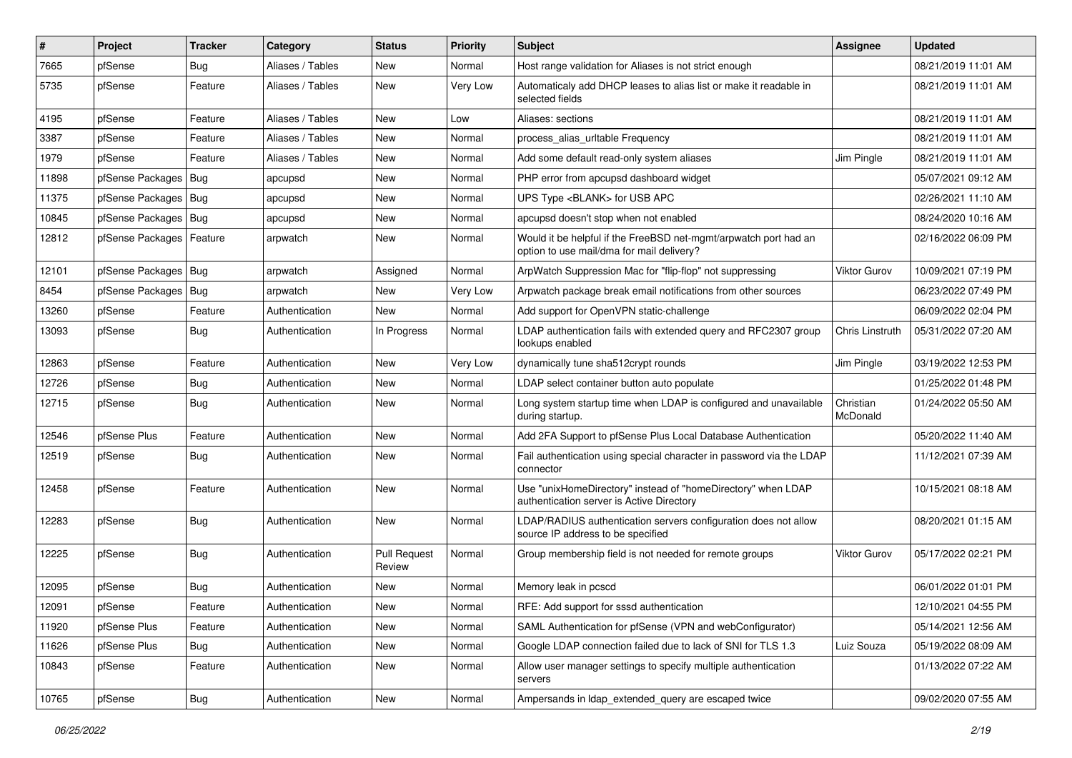| #     | Project                    | <b>Tracker</b> | Category         | <b>Status</b>                 | <b>Priority</b> | <b>Subject</b>                                                                                                | Assignee              | <b>Updated</b>      |
|-------|----------------------------|----------------|------------------|-------------------------------|-----------------|---------------------------------------------------------------------------------------------------------------|-----------------------|---------------------|
| 7665  | pfSense                    | Bug            | Aliases / Tables | New                           | Normal          | Host range validation for Aliases is not strict enough                                                        |                       | 08/21/2019 11:01 AM |
| 5735  | pfSense                    | Feature        | Aliases / Tables | New                           | Very Low        | Automaticaly add DHCP leases to alias list or make it readable in<br>selected fields                          |                       | 08/21/2019 11:01 AM |
| 4195  | pfSense                    | Feature        | Aliases / Tables | New                           | Low             | Aliases: sections                                                                                             |                       | 08/21/2019 11:01 AM |
| 3387  | pfSense                    | Feature        | Aliases / Tables | New                           | Normal          | process_alias_urltable Frequency                                                                              |                       | 08/21/2019 11:01 AM |
| 1979  | pfSense                    | Feature        | Aliases / Tables | New                           | Normal          | Add some default read-only system aliases                                                                     | Jim Pingle            | 08/21/2019 11:01 AM |
| 11898 | pfSense Packages   Bug     |                | apcupsd          | New                           | Normal          | PHP error from apcupsd dashboard widget                                                                       |                       | 05/07/2021 09:12 AM |
| 11375 | pfSense Packages   Bug     |                | apcupsd          | New                           | Normal          | UPS Type <blank> for USB APC</blank>                                                                          |                       | 02/26/2021 11:10 AM |
| 10845 | pfSense Packages   Bug     |                | apcupsd          | <b>New</b>                    | Normal          | apcupsd doesn't stop when not enabled                                                                         |                       | 08/24/2020 10:16 AM |
| 12812 | pfSense Packages   Feature |                | arpwatch         | New                           | Normal          | Would it be helpful if the FreeBSD net-mgmt/arpwatch port had an<br>option to use mail/dma for mail delivery? |                       | 02/16/2022 06:09 PM |
| 12101 | pfSense Packages   Bug     |                | arpwatch         | Assigned                      | Normal          | ArpWatch Suppression Mac for "flip-flop" not suppressing                                                      | Viktor Gurov          | 10/09/2021 07:19 PM |
| 8454  | pfSense Packages           | Bug            | arpwatch         | New                           | Very Low        | Arpwatch package break email notifications from other sources                                                 |                       | 06/23/2022 07:49 PM |
| 13260 | pfSense                    | Feature        | Authentication   | New                           | Normal          | Add support for OpenVPN static-challenge                                                                      |                       | 06/09/2022 02:04 PM |
| 13093 | pfSense                    | Bug            | Authentication   | In Progress                   | Normal          | LDAP authentication fails with extended query and RFC2307 group<br>lookups enabled                            | Chris Linstruth       | 05/31/2022 07:20 AM |
| 12863 | pfSense                    | Feature        | Authentication   | New                           | Very Low        | dynamically tune sha512crypt rounds                                                                           | Jim Pingle            | 03/19/2022 12:53 PM |
| 12726 | pfSense                    | <b>Bug</b>     | Authentication   | New                           | Normal          | LDAP select container button auto populate                                                                    |                       | 01/25/2022 01:48 PM |
| 12715 | pfSense                    | <b>Bug</b>     | Authentication   | New                           | Normal          | Long system startup time when LDAP is configured and unavailable<br>during startup.                           | Christian<br>McDonald | 01/24/2022 05:50 AM |
| 12546 | pfSense Plus               | Feature        | Authentication   | <b>New</b>                    | Normal          | Add 2FA Support to pfSense Plus Local Database Authentication                                                 |                       | 05/20/2022 11:40 AM |
| 12519 | pfSense                    | <b>Bug</b>     | Authentication   | New                           | Normal          | Fail authentication using special character in password via the LDAP<br>connector                             |                       | 11/12/2021 07:39 AM |
| 12458 | pfSense                    | Feature        | Authentication   | New                           | Normal          | Use "unixHomeDirectory" instead of "homeDirectory" when LDAP<br>authentication server is Active Directory     |                       | 10/15/2021 08:18 AM |
| 12283 | pfSense                    | <b>Bug</b>     | Authentication   | <b>New</b>                    | Normal          | LDAP/RADIUS authentication servers configuration does not allow<br>source IP address to be specified          |                       | 08/20/2021 01:15 AM |
| 12225 | pfSense                    | <b>Bug</b>     | Authentication   | <b>Pull Request</b><br>Review | Normal          | Group membership field is not needed for remote groups                                                        | <b>Viktor Gurov</b>   | 05/17/2022 02:21 PM |
| 12095 | pfSense                    | <b>Bug</b>     | Authentication   | New                           | Normal          | Memory leak in pcscd                                                                                          |                       | 06/01/2022 01:01 PM |
| 12091 | pfSense                    | Feature        | Authentication   | New                           | Normal          | RFE: Add support for sssd authentication                                                                      |                       | 12/10/2021 04:55 PM |
| 11920 | pfSense Plus               | Feature        | Authentication   | <b>New</b>                    | Normal          | SAML Authentication for pfSense (VPN and webConfigurator)                                                     |                       | 05/14/2021 12:56 AM |
| 11626 | pfSense Plus               | <b>Bug</b>     | Authentication   | New                           | Normal          | Google LDAP connection failed due to lack of SNI for TLS 1.3                                                  | Luiz Souza            | 05/19/2022 08:09 AM |
| 10843 | pfSense                    | Feature        | Authentication   | New                           | Normal          | Allow user manager settings to specify multiple authentication<br>servers                                     |                       | 01/13/2022 07:22 AM |
| 10765 | pfSense                    | <b>Bug</b>     | Authentication   | New                           | Normal          | Ampersands in Idap extended query are escaped twice                                                           |                       | 09/02/2020 07:55 AM |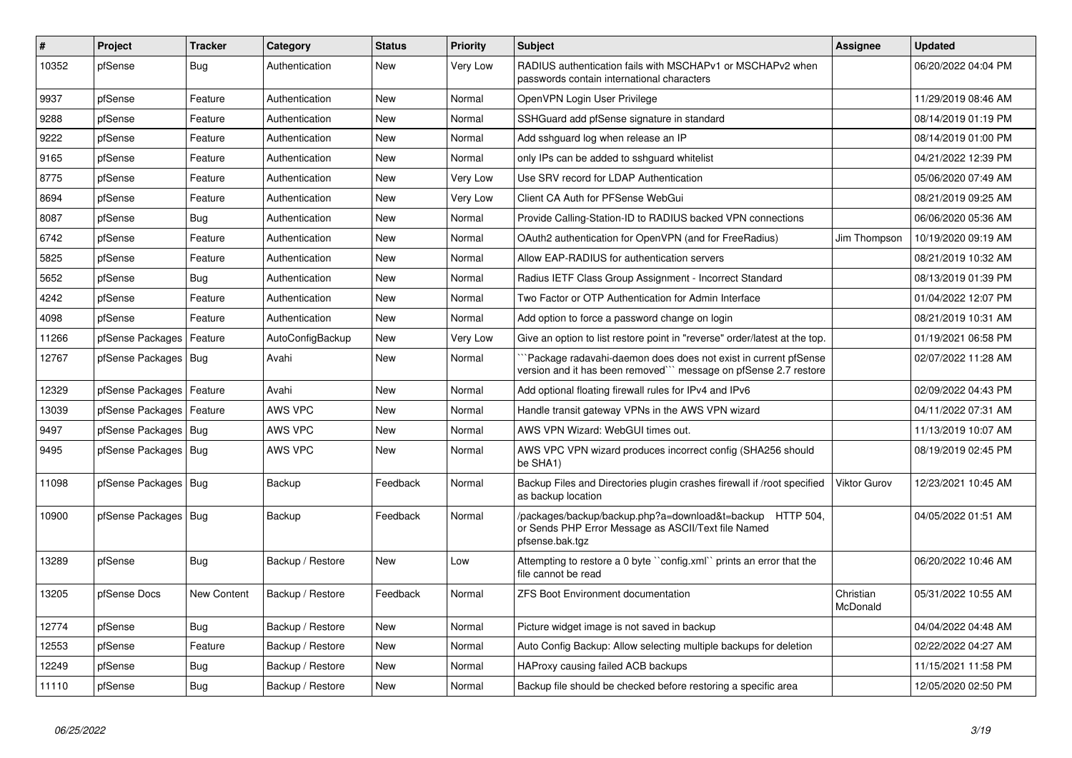| $\sharp$ | Project                | <b>Tracker</b> | Category         | <b>Status</b> | <b>Priority</b> | <b>Subject</b>                                                                                                                      | <b>Assignee</b>       | <b>Updated</b>      |
|----------|------------------------|----------------|------------------|---------------|-----------------|-------------------------------------------------------------------------------------------------------------------------------------|-----------------------|---------------------|
| 10352    | pfSense                | Bug            | Authentication   | <b>New</b>    | Very Low        | RADIUS authentication fails with MSCHAPv1 or MSCHAPv2 when<br>passwords contain international characters                            |                       | 06/20/2022 04:04 PM |
| 9937     | pfSense                | Feature        | Authentication   | <b>New</b>    | Normal          | OpenVPN Login User Privilege                                                                                                        |                       | 11/29/2019 08:46 AM |
| 9288     | pfSense                | Feature        | Authentication   | <b>New</b>    | Normal          | SSHGuard add pfSense signature in standard                                                                                          |                       | 08/14/2019 01:19 PM |
| 9222     | pfSense                | Feature        | Authentication   | <b>New</b>    | Normal          | Add sshguard log when release an IP                                                                                                 |                       | 08/14/2019 01:00 PM |
| 9165     | pfSense                | Feature        | Authentication   | <b>New</b>    | Normal          | only IPs can be added to sshguard whitelist                                                                                         |                       | 04/21/2022 12:39 PM |
| 8775     | pfSense                | Feature        | Authentication   | <b>New</b>    | Very Low        | Use SRV record for LDAP Authentication                                                                                              |                       | 05/06/2020 07:49 AM |
| 8694     | pfSense                | Feature        | Authentication   | <b>New</b>    | Very Low        | Client CA Auth for PFSense WebGui                                                                                                   |                       | 08/21/2019 09:25 AM |
| 8087     | pfSense                | <b>Bug</b>     | Authentication   | <b>New</b>    | Normal          | Provide Calling-Station-ID to RADIUS backed VPN connections                                                                         |                       | 06/06/2020 05:36 AM |
| 6742     | pfSense                | Feature        | Authentication   | <b>New</b>    | Normal          | OAuth2 authentication for OpenVPN (and for FreeRadius)                                                                              | Jim Thompson          | 10/19/2020 09:19 AM |
| 5825     | pfSense                | Feature        | Authentication   | <b>New</b>    | Normal          | Allow EAP-RADIUS for authentication servers                                                                                         |                       | 08/21/2019 10:32 AM |
| 5652     | pfSense                | <b>Bug</b>     | Authentication   | <b>New</b>    | Normal          | Radius IETF Class Group Assignment - Incorrect Standard                                                                             |                       | 08/13/2019 01:39 PM |
| 4242     | pfSense                | Feature        | Authentication   | <b>New</b>    | Normal          | Two Factor or OTP Authentication for Admin Interface                                                                                |                       | 01/04/2022 12:07 PM |
| 4098     | pfSense                | Feature        | Authentication   | <b>New</b>    | Normal          | Add option to force a password change on login                                                                                      |                       | 08/21/2019 10:31 AM |
| 11266    | pfSense Packages       | Feature        | AutoConfigBackup | <b>New</b>    | Very Low        | Give an option to list restore point in "reverse" order/latest at the top.                                                          |                       | 01/19/2021 06:58 PM |
| 12767    | pfSense Packages   Bug |                | Avahi            | New           | Normal          | Package radavahi-daemon does does not exist in current pfSense<br>version and it has been removed"" message on pfSense 2.7 restore  |                       | 02/07/2022 11:28 AM |
| 12329    | pfSense Packages       | Feature        | Avahi            | <b>New</b>    | Normal          | Add optional floating firewall rules for IPv4 and IPv6                                                                              |                       | 02/09/2022 04:43 PM |
| 13039    | pfSense Packages       | Feature        | AWS VPC          | <b>New</b>    | Normal          | Handle transit gateway VPNs in the AWS VPN wizard                                                                                   |                       | 04/11/2022 07:31 AM |
| 9497     | pfSense Packages   Bug |                | AWS VPC          | New           | Normal          | AWS VPN Wizard: WebGUI times out.                                                                                                   |                       | 11/13/2019 10:07 AM |
| 9495     | pfSense Packages   Bug |                | AWS VPC          | <b>New</b>    | Normal          | AWS VPC VPN wizard produces incorrect config (SHA256 should<br>be SHA1)                                                             |                       | 08/19/2019 02:45 PM |
| 11098    | pfSense Packages   Bug |                | Backup           | Feedback      | Normal          | Backup Files and Directories plugin crashes firewall if /root specified<br>as backup location                                       | <b>Viktor Gurov</b>   | 12/23/2021 10:45 AM |
| 10900    | pfSense Packages   Bug |                | Backup           | Feedback      | Normal          | /packages/backup/backup.php?a=download&t=backup HTTP 504,<br>or Sends PHP Error Message as ASCII/Text file Named<br>pfsense.bak.tgz |                       | 04/05/2022 01:51 AM |
| 13289    | pfSense                | <b>Bug</b>     | Backup / Restore | <b>New</b>    | Low             | Attempting to restore a 0 byte "config.xml" prints an error that the<br>file cannot be read                                         |                       | 06/20/2022 10:46 AM |
| 13205    | pfSense Docs           | New Content    | Backup / Restore | Feedback      | Normal          | <b>ZFS Boot Environment documentation</b>                                                                                           | Christian<br>McDonald | 05/31/2022 10:55 AM |
| 12774    | pfSense                | Bug            | Backup / Restore | <b>New</b>    | Normal          | Picture widget image is not saved in backup                                                                                         |                       | 04/04/2022 04:48 AM |
| 12553    | pfSense                | Feature        | Backup / Restore | <b>New</b>    | Normal          | Auto Config Backup: Allow selecting multiple backups for deletion                                                                   |                       | 02/22/2022 04:27 AM |
| 12249    | pfSense                | <b>Bug</b>     | Backup / Restore | <b>New</b>    | Normal          | HAProxy causing failed ACB backups                                                                                                  |                       | 11/15/2021 11:58 PM |
| 11110    | pfSense                | <b>Bug</b>     | Backup / Restore | <b>New</b>    | Normal          | Backup file should be checked before restoring a specific area                                                                      |                       | 12/05/2020 02:50 PM |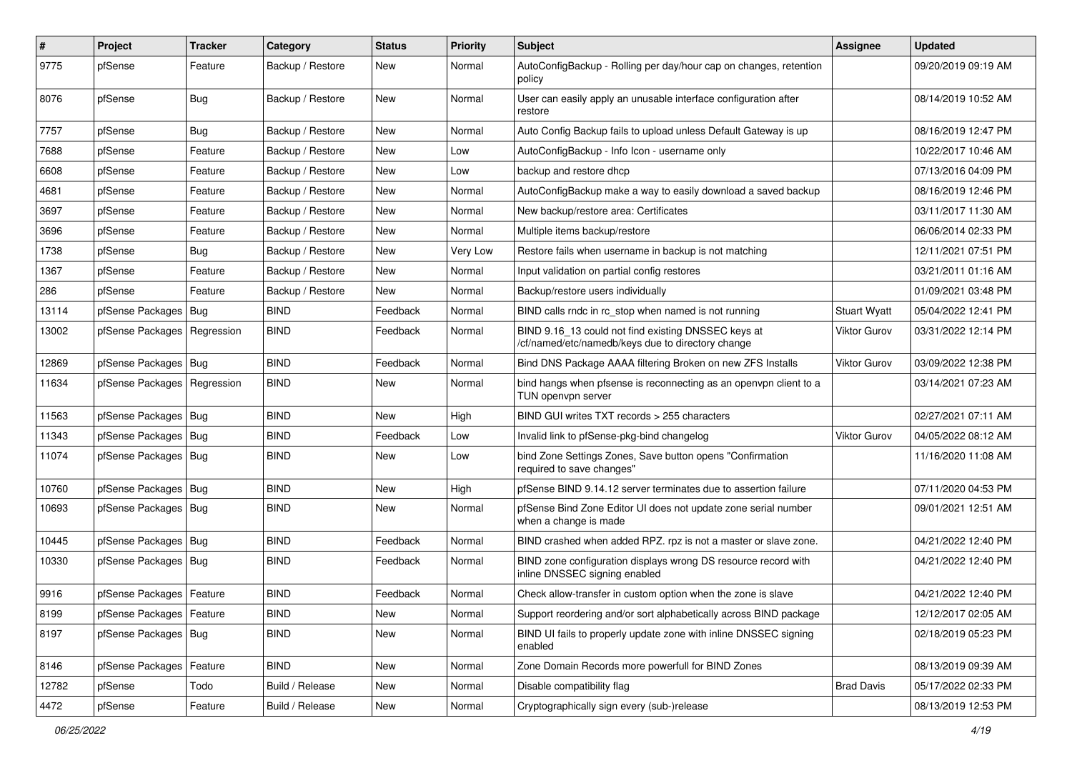| $\pmb{\#}$ | Project                       | Tracker    | Category         | <b>Status</b> | <b>Priority</b> | <b>Subject</b>                                                                                           | <b>Assignee</b>     | <b>Updated</b>      |
|------------|-------------------------------|------------|------------------|---------------|-----------------|----------------------------------------------------------------------------------------------------------|---------------------|---------------------|
| 9775       | pfSense                       | Feature    | Backup / Restore | New           | Normal          | AutoConfigBackup - Rolling per day/hour cap on changes, retention<br>policy                              |                     | 09/20/2019 09:19 AM |
| 8076       | pfSense                       | <b>Bug</b> | Backup / Restore | New           | Normal          | User can easily apply an unusable interface configuration after<br>restore                               |                     | 08/14/2019 10:52 AM |
| 7757       | pfSense                       | <b>Bug</b> | Backup / Restore | <b>New</b>    | Normal          | Auto Config Backup fails to upload unless Default Gateway is up                                          |                     | 08/16/2019 12:47 PM |
| 7688       | pfSense                       | Feature    | Backup / Restore | New           | Low             | AutoConfigBackup - Info Icon - username only                                                             |                     | 10/22/2017 10:46 AM |
| 6608       | pfSense                       | Feature    | Backup / Restore | New           | Low             | backup and restore dhcp                                                                                  |                     | 07/13/2016 04:09 PM |
| 4681       | pfSense                       | Feature    | Backup / Restore | New           | Normal          | AutoConfigBackup make a way to easily download a saved backup                                            |                     | 08/16/2019 12:46 PM |
| 3697       | pfSense                       | Feature    | Backup / Restore | New           | Normal          | New backup/restore area: Certificates                                                                    |                     | 03/11/2017 11:30 AM |
| 3696       | pfSense                       | Feature    | Backup / Restore | New           | Normal          | Multiple items backup/restore                                                                            |                     | 06/06/2014 02:33 PM |
| 1738       | pfSense                       | Bug        | Backup / Restore | New           | Very Low        | Restore fails when username in backup is not matching                                                    |                     | 12/11/2021 07:51 PM |
| 1367       | pfSense                       | Feature    | Backup / Restore | New           | Normal          | Input validation on partial config restores                                                              |                     | 03/21/2011 01:16 AM |
| 286        | pfSense                       | Feature    | Backup / Restore | <b>New</b>    | Normal          | Backup/restore users individually                                                                        |                     | 01/09/2021 03:48 PM |
| 13114      | pfSense Packages              | Bug        | <b>BIND</b>      | Feedback      | Normal          | BIND calls rndc in rc stop when named is not running                                                     | <b>Stuart Wyatt</b> | 05/04/2022 12:41 PM |
| 13002      | pfSense Packages   Regression |            | <b>BIND</b>      | Feedback      | Normal          | BIND 9.16 13 could not find existing DNSSEC keys at<br>/cf/named/etc/namedb/keys due to directory change | <b>Viktor Gurov</b> | 03/31/2022 12:14 PM |
| 12869      | pfSense Packages   Bug        |            | <b>BIND</b>      | Feedback      | Normal          | Bind DNS Package AAAA filtering Broken on new ZFS Installs                                               | Viktor Gurov        | 03/09/2022 12:38 PM |
| 11634      | pfSense Packages              | Regression | <b>BIND</b>      | New           | Normal          | bind hangs when pfsense is reconnecting as an openvpn client to a<br>TUN openvpn server                  |                     | 03/14/2021 07:23 AM |
| 11563      | pfSense Packages   Bug        |            | <b>BIND</b>      | New           | High            | BIND GUI writes TXT records > 255 characters                                                             |                     | 02/27/2021 07:11 AM |
| 11343      | pfSense Packages              | Bug        | <b>BIND</b>      | Feedback      | Low             | Invalid link to pfSense-pkg-bind changelog                                                               | Viktor Gurov        | 04/05/2022 08:12 AM |
| 11074      | pfSense Packages   Bug        |            | <b>BIND</b>      | New           | Low             | bind Zone Settings Zones, Save button opens "Confirmation<br>required to save changes"                   |                     | 11/16/2020 11:08 AM |
| 10760      | pfSense Packages   Bug        |            | <b>BIND</b>      | New           | High            | pfSense BIND 9.14.12 server terminates due to assertion failure                                          |                     | 07/11/2020 04:53 PM |
| 10693      | pfSense Packages   Bug        |            | <b>BIND</b>      | New           | Normal          | pfSense Bind Zone Editor UI does not update zone serial number<br>when a change is made                  |                     | 09/01/2021 12:51 AM |
| 10445      | pfSense Packages   Bug        |            | <b>BIND</b>      | Feedback      | Normal          | BIND crashed when added RPZ. rpz is not a master or slave zone.                                          |                     | 04/21/2022 12:40 PM |
| 10330      | pfSense Packages   Bug        |            | <b>BIND</b>      | Feedback      | Normal          | BIND zone configuration displays wrong DS resource record with<br>inline DNSSEC signing enabled          |                     | 04/21/2022 12:40 PM |
| 9916       | pfSense Packages   Feature    |            | <b>BIND</b>      | Feedback      | Normal          | Check allow-transfer in custom option when the zone is slave                                             |                     | 04/21/2022 12:40 PM |
| 8199       | pfSense Packages   Feature    |            | <b>BIND</b>      | New           | Normal          | Support reordering and/or sort alphabetically across BIND package                                        |                     | 12/12/2017 02:05 AM |
| 8197       | pfSense Packages   Bug        |            | <b>BIND</b>      | New           | Normal          | BIND UI fails to properly update zone with inline DNSSEC signing<br>enabled                              |                     | 02/18/2019 05:23 PM |
| 8146       | pfSense Packages              | Feature    | <b>BIND</b>      | New           | Normal          | Zone Domain Records more powerfull for BIND Zones                                                        |                     | 08/13/2019 09:39 AM |
| 12782      | pfSense                       | Todo       | Build / Release  | New           | Normal          | Disable compatibility flag                                                                               | <b>Brad Davis</b>   | 05/17/2022 02:33 PM |
| 4472       | pfSense                       | Feature    | Build / Release  | New           | Normal          | Cryptographically sign every (sub-)release                                                               |                     | 08/13/2019 12:53 PM |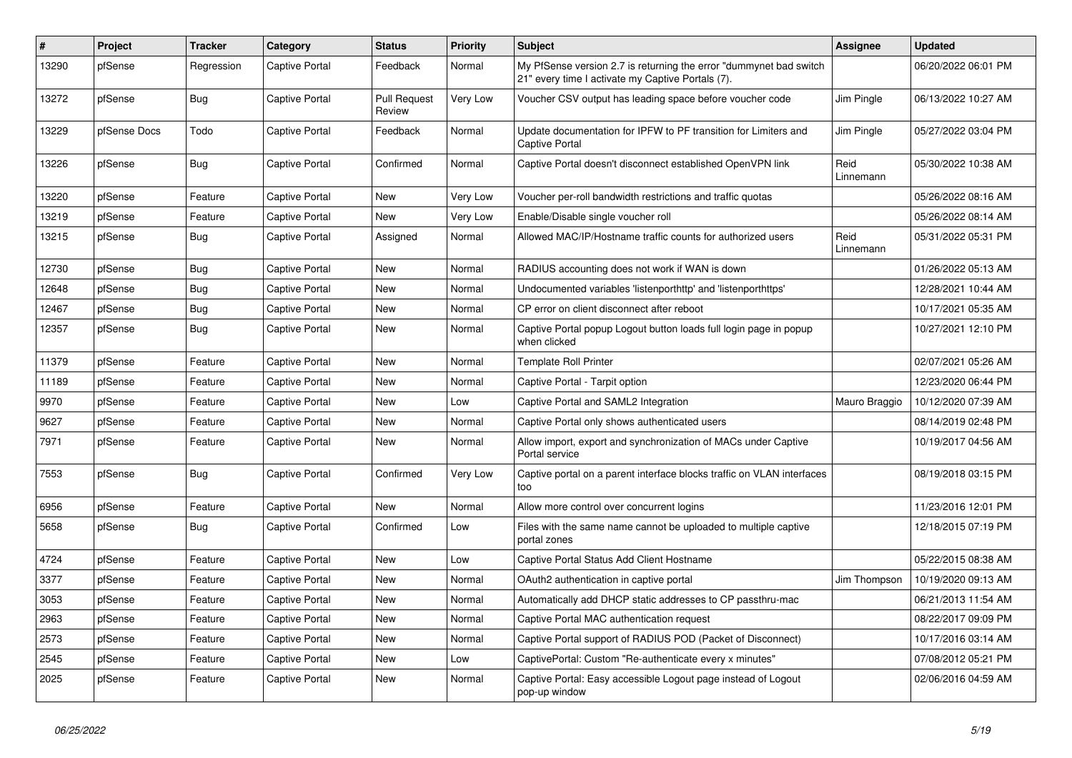| #     | Project      | <b>Tracker</b> | Category       | <b>Status</b>                 | <b>Priority</b> | <b>Subject</b>                                                                                                          | Assignee          | <b>Updated</b>      |
|-------|--------------|----------------|----------------|-------------------------------|-----------------|-------------------------------------------------------------------------------------------------------------------------|-------------------|---------------------|
| 13290 | pfSense      | Regression     | Captive Portal | Feedback                      | Normal          | My PfSense version 2.7 is returning the error "dummynet bad switch<br>21" every time I activate my Captive Portals (7). |                   | 06/20/2022 06:01 PM |
| 13272 | pfSense      | Bug            | Captive Portal | <b>Pull Request</b><br>Review | Very Low        | Voucher CSV output has leading space before voucher code                                                                | Jim Pingle        | 06/13/2022 10:27 AM |
| 13229 | pfSense Docs | Todo           | Captive Portal | Feedback                      | Normal          | Update documentation for IPFW to PF transition for Limiters and<br>Captive Portal                                       | Jim Pingle        | 05/27/2022 03:04 PM |
| 13226 | pfSense      | Bug            | Captive Portal | Confirmed                     | Normal          | Captive Portal doesn't disconnect established OpenVPN link                                                              | Reid<br>Linnemann | 05/30/2022 10:38 AM |
| 13220 | pfSense      | Feature        | Captive Portal | New                           | Very Low        | Voucher per-roll bandwidth restrictions and traffic quotas                                                              |                   | 05/26/2022 08:16 AM |
| 13219 | pfSense      | Feature        | Captive Portal | <b>New</b>                    | Very Low        | Enable/Disable single voucher roll                                                                                      |                   | 05/26/2022 08:14 AM |
| 13215 | pfSense      | Bug            | Captive Portal | Assigned                      | Normal          | Allowed MAC/IP/Hostname traffic counts for authorized users                                                             | Reid<br>Linnemann | 05/31/2022 05:31 PM |
| 12730 | pfSense      | <b>Bug</b>     | Captive Portal | <b>New</b>                    | Normal          | RADIUS accounting does not work if WAN is down                                                                          |                   | 01/26/2022 05:13 AM |
| 12648 | pfSense      | <b>Bug</b>     | Captive Portal | New                           | Normal          | Undocumented variables 'listenporthttp' and 'listenporthttps'                                                           |                   | 12/28/2021 10:44 AM |
| 12467 | pfSense      | Bug            | Captive Portal | <b>New</b>                    | Normal          | CP error on client disconnect after reboot                                                                              |                   | 10/17/2021 05:35 AM |
| 12357 | pfSense      | Bug            | Captive Portal | <b>New</b>                    | Normal          | Captive Portal popup Logout button loads full login page in popup<br>when clicked                                       |                   | 10/27/2021 12:10 PM |
| 11379 | pfSense      | Feature        | Captive Portal | <b>New</b>                    | Normal          | <b>Template Roll Printer</b>                                                                                            |                   | 02/07/2021 05:26 AM |
| 11189 | pfSense      | Feature        | Captive Portal | <b>New</b>                    | Normal          | Captive Portal - Tarpit option                                                                                          |                   | 12/23/2020 06:44 PM |
| 9970  | pfSense      | Feature        | Captive Portal | <b>New</b>                    | Low             | Captive Portal and SAML2 Integration                                                                                    | Mauro Braggio     | 10/12/2020 07:39 AM |
| 9627  | pfSense      | Feature        | Captive Portal | <b>New</b>                    | Normal          | Captive Portal only shows authenticated users                                                                           |                   | 08/14/2019 02:48 PM |
| 7971  | pfSense      | Feature        | Captive Portal | <b>New</b>                    | Normal          | Allow import, export and synchronization of MACs under Captive<br>Portal service                                        |                   | 10/19/2017 04:56 AM |
| 7553  | pfSense      | Bug            | Captive Portal | Confirmed                     | Very Low        | Captive portal on a parent interface blocks traffic on VLAN interfaces<br>too                                           |                   | 08/19/2018 03:15 PM |
| 6956  | pfSense      | Feature        | Captive Portal | <b>New</b>                    | Normal          | Allow more control over concurrent logins                                                                               |                   | 11/23/2016 12:01 PM |
| 5658  | pfSense      | Bug            | Captive Portal | Confirmed                     | Low             | Files with the same name cannot be uploaded to multiple captive<br>portal zones                                         |                   | 12/18/2015 07:19 PM |
| 4724  | pfSense      | Feature        | Captive Portal | <b>New</b>                    | Low             | Captive Portal Status Add Client Hostname                                                                               |                   | 05/22/2015 08:38 AM |
| 3377  | pfSense      | Feature        | Captive Portal | <b>New</b>                    | Normal          | OAuth2 authentication in captive portal                                                                                 | Jim Thompson      | 10/19/2020 09:13 AM |
| 3053  | pfSense      | Feature        | Captive Portal | <b>New</b>                    | Normal          | Automatically add DHCP static addresses to CP passthru-mac                                                              |                   | 06/21/2013 11:54 AM |
| 2963  | pfSense      | Feature        | Captive Portal | <b>New</b>                    | Normal          | Captive Portal MAC authentication request                                                                               |                   | 08/22/2017 09:09 PM |
| 2573  | pfSense      | Feature        | Captive Portal | <b>New</b>                    | Normal          | Captive Portal support of RADIUS POD (Packet of Disconnect)                                                             |                   | 10/17/2016 03:14 AM |
| 2545  | pfSense      | Feature        | Captive Portal | <b>New</b>                    | Low             | CaptivePortal: Custom "Re-authenticate every x minutes"                                                                 |                   | 07/08/2012 05:21 PM |
| 2025  | pfSense      | Feature        | Captive Portal | <b>New</b>                    | Normal          | Captive Portal: Easy accessible Logout page instead of Logout<br>pop-up window                                          |                   | 02/06/2016 04:59 AM |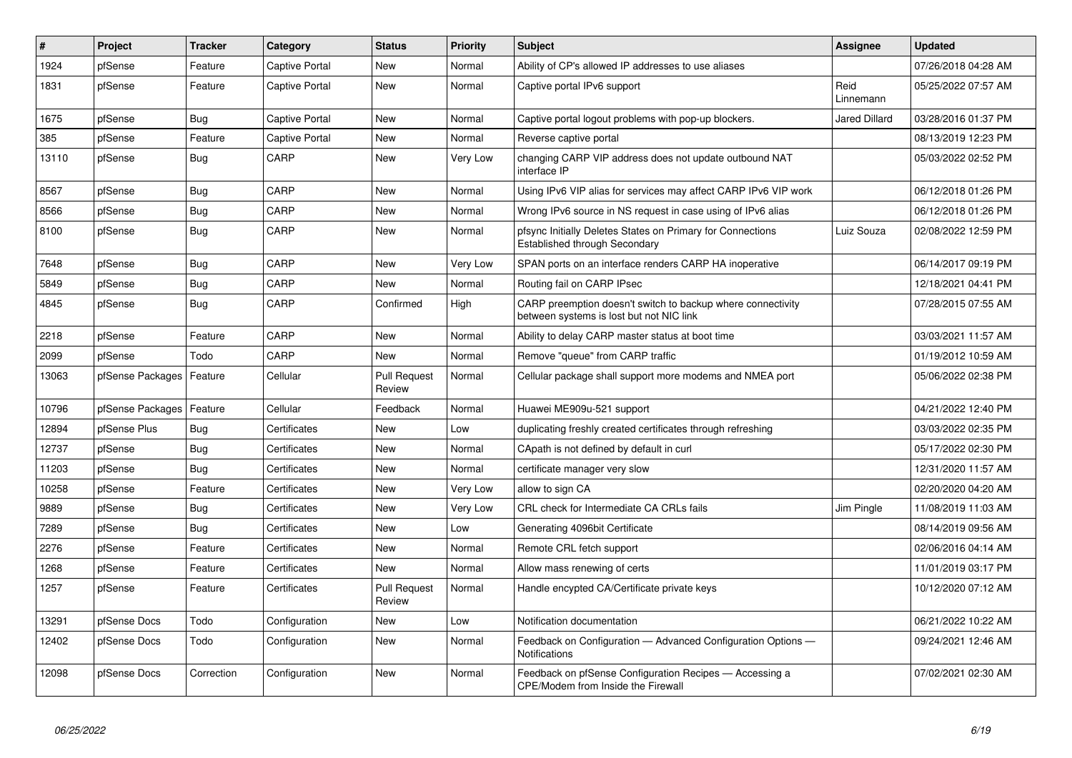| $\sharp$ | Project          | <b>Tracker</b> | Category              | <b>Status</b>                 | <b>Priority</b> | <b>Subject</b>                                                                                          | <b>Assignee</b>   | <b>Updated</b>      |
|----------|------------------|----------------|-----------------------|-------------------------------|-----------------|---------------------------------------------------------------------------------------------------------|-------------------|---------------------|
| 1924     | pfSense          | Feature        | Captive Portal        | <b>New</b>                    | Normal          | Ability of CP's allowed IP addresses to use aliases                                                     |                   | 07/26/2018 04:28 AM |
| 1831     | pfSense          | Feature        | Captive Portal        | New                           | Normal          | Captive portal IPv6 support                                                                             | Reid<br>Linnemann | 05/25/2022 07:57 AM |
| 1675     | pfSense          | <b>Bug</b>     | Captive Portal        | <b>New</b>                    | Normal          | Captive portal logout problems with pop-up blockers.                                                    | Jared Dillard     | 03/28/2016 01:37 PM |
| 385      | pfSense          | Feature        | <b>Captive Portal</b> | New                           | Normal          | Reverse captive portal                                                                                  |                   | 08/13/2019 12:23 PM |
| 13110    | pfSense          | <b>Bug</b>     | CARP                  | <b>New</b>                    | <b>Very Low</b> | changing CARP VIP address does not update outbound NAT<br>interface IP                                  |                   | 05/03/2022 02:52 PM |
| 8567     | pfSense          | <b>Bug</b>     | CARP                  | <b>New</b>                    | Normal          | Using IPv6 VIP alias for services may affect CARP IPv6 VIP work                                         |                   | 06/12/2018 01:26 PM |
| 8566     | pfSense          | <b>Bug</b>     | CARP                  | <b>New</b>                    | Normal          | Wrong IPv6 source in NS request in case using of IPv6 alias                                             |                   | 06/12/2018 01:26 PM |
| 8100     | pfSense          | <b>Bug</b>     | CARP                  | <b>New</b>                    | Normal          | pfsync Initially Deletes States on Primary for Connections<br>Established through Secondary             | Luiz Souza        | 02/08/2022 12:59 PM |
| 7648     | pfSense          | Bug            | CARP                  | <b>New</b>                    | <b>Very Low</b> | SPAN ports on an interface renders CARP HA inoperative                                                  |                   | 06/14/2017 09:19 PM |
| 5849     | pfSense          | <b>Bug</b>     | CARP                  | New                           | Normal          | Routing fail on CARP IPsec                                                                              |                   | 12/18/2021 04:41 PM |
| 4845     | pfSense          | <b>Bug</b>     | CARP                  | Confirmed                     | High            | CARP preemption doesn't switch to backup where connectivity<br>between systems is lost but not NIC link |                   | 07/28/2015 07:55 AM |
| 2218     | pfSense          | Feature        | CARP                  | <b>New</b>                    | Normal          | Ability to delay CARP master status at boot time                                                        |                   | 03/03/2021 11:57 AM |
| 2099     | pfSense          | Todo           | CARP                  | <b>New</b>                    | Normal          | Remove "queue" from CARP traffic                                                                        |                   | 01/19/2012 10:59 AM |
| 13063    | pfSense Packages | Feature        | Cellular              | <b>Pull Request</b><br>Review | Normal          | Cellular package shall support more modems and NMEA port                                                |                   | 05/06/2022 02:38 PM |
| 10796    | pfSense Packages | Feature        | Cellular              | Feedback                      | Normal          | Huawei ME909u-521 support                                                                               |                   | 04/21/2022 12:40 PM |
| 12894    | pfSense Plus     | <b>Bug</b>     | Certificates          | New                           | Low             | duplicating freshly created certificates through refreshing                                             |                   | 03/03/2022 02:35 PM |
| 12737    | pfSense          | <b>Bug</b>     | Certificates          | <b>New</b>                    | Normal          | CApath is not defined by default in curl                                                                |                   | 05/17/2022 02:30 PM |
| 11203    | pfSense          | <b>Bug</b>     | Certificates          | <b>New</b>                    | Normal          | certificate manager very slow                                                                           |                   | 12/31/2020 11:57 AM |
| 10258    | pfSense          | Feature        | Certificates          | <b>New</b>                    | Very Low        | allow to sign CA                                                                                        |                   | 02/20/2020 04:20 AM |
| 9889     | pfSense          | <b>Bug</b>     | Certificates          | <b>New</b>                    | Very Low        | CRL check for Intermediate CA CRLs fails                                                                | Jim Pingle        | 11/08/2019 11:03 AM |
| 7289     | pfSense          | <b>Bug</b>     | Certificates          | <b>New</b>                    | Low             | Generating 4096bit Certificate                                                                          |                   | 08/14/2019 09:56 AM |
| 2276     | pfSense          | Feature        | Certificates          | <b>New</b>                    | Normal          | Remote CRL fetch support                                                                                |                   | 02/06/2016 04:14 AM |
| 1268     | pfSense          | Feature        | Certificates          | <b>New</b>                    | Normal          | Allow mass renewing of certs                                                                            |                   | 11/01/2019 03:17 PM |
| 1257     | pfSense          | Feature        | Certificates          | <b>Pull Request</b><br>Review | Normal          | Handle encypted CA/Certificate private keys                                                             |                   | 10/12/2020 07:12 AM |
| 13291    | pfSense Docs     | Todo           | Configuration         | <b>New</b>                    | Low             | Notification documentation                                                                              |                   | 06/21/2022 10:22 AM |
| 12402    | pfSense Docs     | Todo           | Configuration         | New                           | Normal          | Feedback on Configuration - Advanced Configuration Options -<br><b>Notifications</b>                    |                   | 09/24/2021 12:46 AM |
| 12098    | pfSense Docs     | Correction     | Configuration         | <b>New</b>                    | Normal          | Feedback on pfSense Configuration Recipes - Accessing a<br>CPE/Modem from Inside the Firewall           |                   | 07/02/2021 02:30 AM |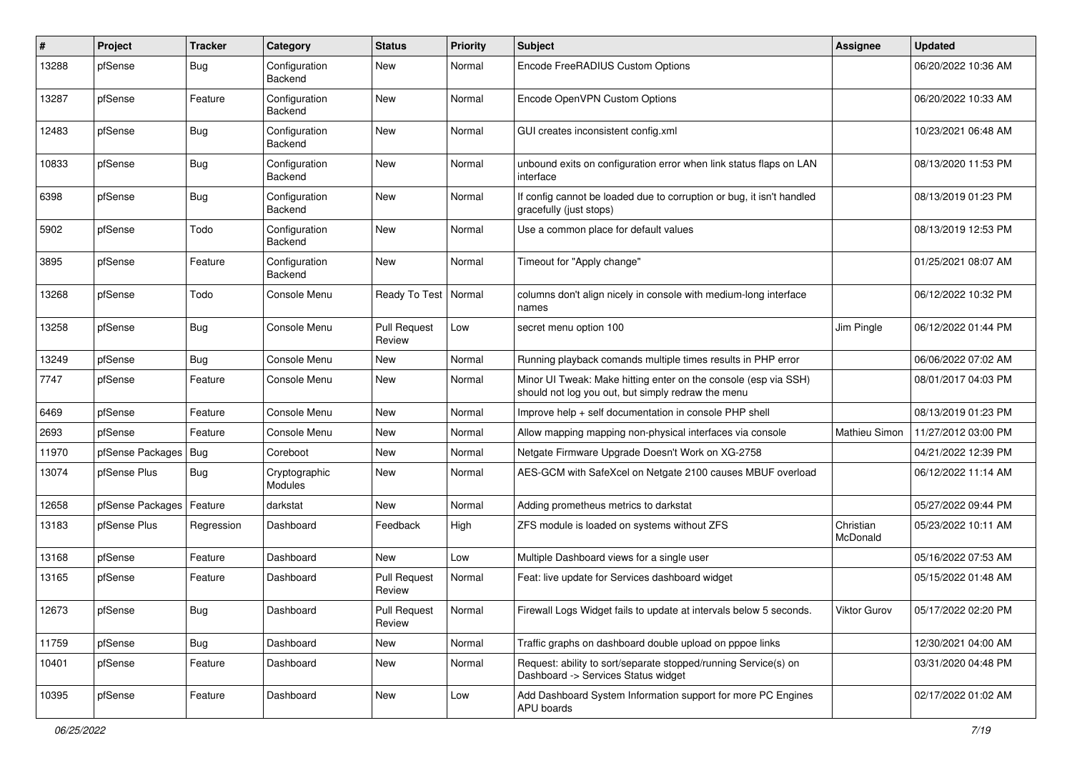| $\#$  | Project          | <b>Tracker</b> | Category                 | <b>Status</b>                 | <b>Priority</b> | Subject                                                                                                               | Assignee              | <b>Updated</b>      |
|-------|------------------|----------------|--------------------------|-------------------------------|-----------------|-----------------------------------------------------------------------------------------------------------------------|-----------------------|---------------------|
| 13288 | pfSense          | <b>Bug</b>     | Configuration<br>Backend | New                           | Normal          | Encode FreeRADIUS Custom Options                                                                                      |                       | 06/20/2022 10:36 AM |
| 13287 | pfSense          | Feature        | Configuration<br>Backend | <b>New</b>                    | Normal          | Encode OpenVPN Custom Options                                                                                         |                       | 06/20/2022 10:33 AM |
| 12483 | pfSense          | Bug            | Configuration<br>Backend | <b>New</b>                    | Normal          | GUI creates inconsistent config.xml                                                                                   |                       | 10/23/2021 06:48 AM |
| 10833 | pfSense          | <b>Bug</b>     | Configuration<br>Backend | <b>New</b>                    | Normal          | unbound exits on configuration error when link status flaps on LAN<br>interface                                       |                       | 08/13/2020 11:53 PM |
| 6398  | pfSense          | <b>Bug</b>     | Configuration<br>Backend | <b>New</b>                    | Normal          | If config cannot be loaded due to corruption or bug, it isn't handled<br>gracefully (just stops)                      |                       | 08/13/2019 01:23 PM |
| 5902  | pfSense          | Todo           | Configuration<br>Backend | New                           | Normal          | Use a common place for default values                                                                                 |                       | 08/13/2019 12:53 PM |
| 3895  | pfSense          | Feature        | Configuration<br>Backend | <b>New</b>                    | Normal          | Timeout for "Apply change"                                                                                            |                       | 01/25/2021 08:07 AM |
| 13268 | pfSense          | Todo           | Console Menu             | Ready To Test                 | Normal          | columns don't align nicely in console with medium-long interface<br>names                                             |                       | 06/12/2022 10:32 PM |
| 13258 | pfSense          | <b>Bug</b>     | Console Menu             | <b>Pull Request</b><br>Review | Low             | secret menu option 100                                                                                                | Jim Pingle            | 06/12/2022 01:44 PM |
| 13249 | pfSense          | Bug            | Console Menu             | <b>New</b>                    | Normal          | Running playback comands multiple times results in PHP error                                                          |                       | 06/06/2022 07:02 AM |
| 7747  | pfSense          | Feature        | Console Menu             | New                           | Normal          | Minor UI Tweak: Make hitting enter on the console (esp via SSH)<br>should not log you out, but simply redraw the menu |                       | 08/01/2017 04:03 PM |
| 6469  | pfSense          | Feature        | Console Menu             | New                           | Normal          | Improve help + self documentation in console PHP shell                                                                |                       | 08/13/2019 01:23 PM |
| 2693  | pfSense          | Feature        | Console Menu             | New                           | Normal          | Allow mapping mapping non-physical interfaces via console                                                             | Mathieu Simon         | 11/27/2012 03:00 PM |
| 11970 | pfSense Packages | Bug            | Coreboot                 | <b>New</b>                    | Normal          | Netgate Firmware Upgrade Doesn't Work on XG-2758                                                                      |                       | 04/21/2022 12:39 PM |
| 13074 | pfSense Plus     | <b>Bug</b>     | Cryptographic<br>Modules | New                           | Normal          | AES-GCM with SafeXcel on Netgate 2100 causes MBUF overload                                                            |                       | 06/12/2022 11:14 AM |
| 12658 | pfSense Packages | Feature        | darkstat                 | <b>New</b>                    | Normal          | Adding prometheus metrics to darkstat                                                                                 |                       | 05/27/2022 09:44 PM |
| 13183 | pfSense Plus     | Regression     | Dashboard                | Feedback                      | High            | ZFS module is loaded on systems without ZFS                                                                           | Christian<br>McDonald | 05/23/2022 10:11 AM |
| 13168 | pfSense          | Feature        | Dashboard                | <b>New</b>                    | Low             | Multiple Dashboard views for a single user                                                                            |                       | 05/16/2022 07:53 AM |
| 13165 | pfSense          | Feature        | Dashboard                | <b>Pull Request</b><br>Review | Normal          | Feat: live update for Services dashboard widget                                                                       |                       | 05/15/2022 01:48 AM |
| 12673 | pfSense          | <b>Bug</b>     | Dashboard                | <b>Pull Request</b><br>Review | Normal          | Firewall Logs Widget fails to update at intervals below 5 seconds.                                                    | Viktor Gurov          | 05/17/2022 02:20 PM |
| 11759 | pfSense          | <b>Bug</b>     | Dashboard                | New                           | Normal          | Traffic graphs on dashboard double upload on pppoe links                                                              |                       | 12/30/2021 04:00 AM |
| 10401 | pfSense          | Feature        | Dashboard                | New                           | Normal          | Request: ability to sort/separate stopped/running Service(s) on<br>Dashboard -> Services Status widget                |                       | 03/31/2020 04:48 PM |
| 10395 | pfSense          | Feature        | Dashboard                | New                           | Low             | Add Dashboard System Information support for more PC Engines<br>APU boards                                            |                       | 02/17/2022 01:02 AM |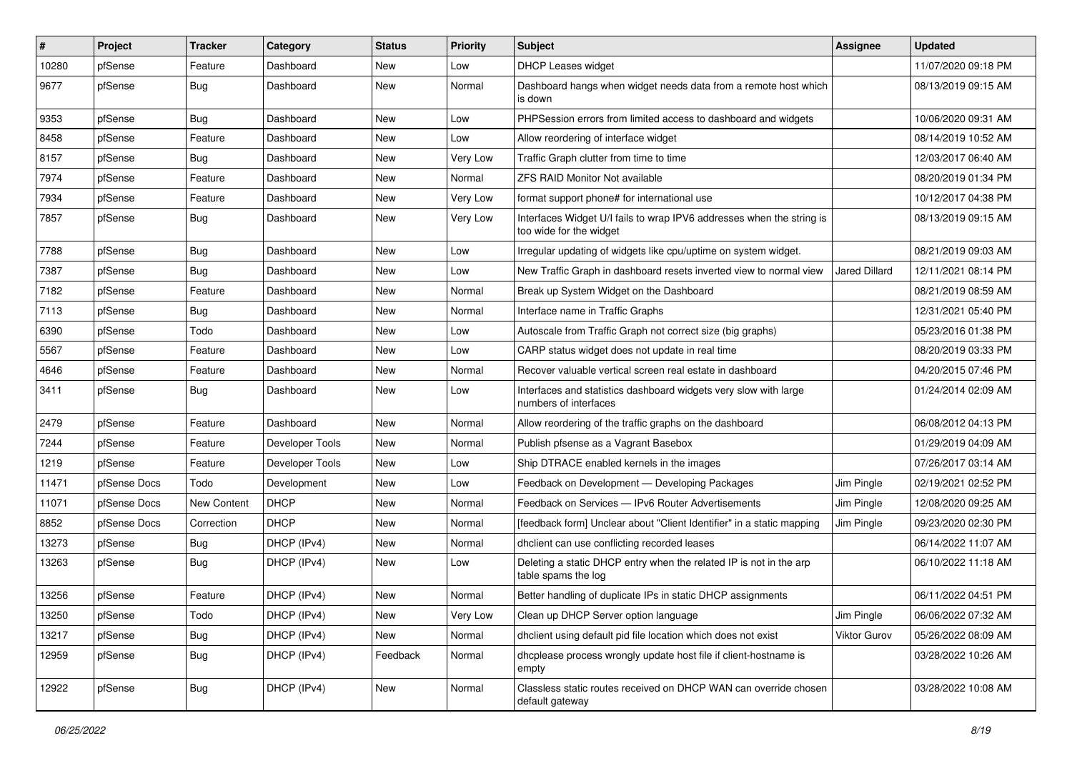| #     | Project      | <b>Tracker</b> | Category        | <b>Status</b> | <b>Priority</b> | <b>Subject</b>                                                                                   | <b>Assignee</b>      | <b>Updated</b>      |
|-------|--------------|----------------|-----------------|---------------|-----------------|--------------------------------------------------------------------------------------------------|----------------------|---------------------|
| 10280 | pfSense      | Feature        | Dashboard       | New           | Low             | DHCP Leases widget                                                                               |                      | 11/07/2020 09:18 PM |
| 9677  | pfSense      | <b>Bug</b>     | Dashboard       | <b>New</b>    | Normal          | Dashboard hangs when widget needs data from a remote host which<br>is down                       |                      | 08/13/2019 09:15 AM |
| 9353  | pfSense      | <b>Bug</b>     | Dashboard       | <b>New</b>    | Low             | PHPSession errors from limited access to dashboard and widgets                                   |                      | 10/06/2020 09:31 AM |
| 8458  | pfSense      | Feature        | Dashboard       | <b>New</b>    | Low             | Allow reordering of interface widget                                                             |                      | 08/14/2019 10:52 AM |
| 8157  | pfSense      | <b>Bug</b>     | Dashboard       | New           | Very Low        | Traffic Graph clutter from time to time                                                          |                      | 12/03/2017 06:40 AM |
| 7974  | pfSense      | Feature        | Dashboard       | New           | Normal          | <b>ZFS RAID Monitor Not available</b>                                                            |                      | 08/20/2019 01:34 PM |
| 7934  | pfSense      | Feature        | Dashboard       | New           | Very Low        | format support phone# for international use                                                      |                      | 10/12/2017 04:38 PM |
| 7857  | pfSense      | <b>Bug</b>     | Dashboard       | <b>New</b>    | Very Low        | Interfaces Widget U/I fails to wrap IPV6 addresses when the string is<br>too wide for the widget |                      | 08/13/2019 09:15 AM |
| 7788  | pfSense      | <b>Bug</b>     | Dashboard       | New           | Low             | Irregular updating of widgets like cpu/uptime on system widget.                                  |                      | 08/21/2019 09:03 AM |
| 7387  | pfSense      | <b>Bug</b>     | Dashboard       | New           | Low             | New Traffic Graph in dashboard resets inverted view to normal view                               | <b>Jared Dillard</b> | 12/11/2021 08:14 PM |
| 7182  | pfSense      | Feature        | Dashboard       | <b>New</b>    | Normal          | Break up System Widget on the Dashboard                                                          |                      | 08/21/2019 08:59 AM |
| 7113  | pfSense      | <b>Bug</b>     | Dashboard       | New           | Normal          | Interface name in Traffic Graphs                                                                 |                      | 12/31/2021 05:40 PM |
| 6390  | pfSense      | Todo           | Dashboard       | New           | Low             | Autoscale from Traffic Graph not correct size (big graphs)                                       |                      | 05/23/2016 01:38 PM |
| 5567  | pfSense      | Feature        | Dashboard       | New           | Low             | CARP status widget does not update in real time                                                  |                      | 08/20/2019 03:33 PM |
| 4646  | pfSense      | Feature        | Dashboard       | <b>New</b>    | Normal          | Recover valuable vertical screen real estate in dashboard                                        |                      | 04/20/2015 07:46 PM |
| 3411  | pfSense      | <b>Bug</b>     | Dashboard       | <b>New</b>    | Low             | Interfaces and statistics dashboard widgets very slow with large<br>numbers of interfaces        |                      | 01/24/2014 02:09 AM |
| 2479  | pfSense      | Feature        | Dashboard       | New           | Normal          | Allow reordering of the traffic graphs on the dashboard                                          |                      | 06/08/2012 04:13 PM |
| 7244  | pfSense      | Feature        | Developer Tools | New           | Normal          | Publish pfsense as a Vagrant Basebox                                                             |                      | 01/29/2019 04:09 AM |
| 1219  | pfSense      | Feature        | Developer Tools | New           | Low             | Ship DTRACE enabled kernels in the images                                                        |                      | 07/26/2017 03:14 AM |
| 11471 | pfSense Docs | Todo           | Development     | New           | Low             | Feedback on Development - Developing Packages                                                    | Jim Pingle           | 02/19/2021 02:52 PM |
| 11071 | pfSense Docs | New Content    | <b>DHCP</b>     | New           | Normal          | Feedback on Services - IPv6 Router Advertisements                                                | Jim Pingle           | 12/08/2020 09:25 AM |
| 8852  | pfSense Docs | Correction     | <b>DHCP</b>     | <b>New</b>    | Normal          | [feedback form] Unclear about "Client Identifier" in a static mapping                            | Jim Pingle           | 09/23/2020 02:30 PM |
| 13273 | pfSense      | <b>Bug</b>     | DHCP (IPv4)     | <b>New</b>    | Normal          | dhclient can use conflicting recorded leases                                                     |                      | 06/14/2022 11:07 AM |
| 13263 | pfSense      | <b>Bug</b>     | DHCP (IPv4)     | New           | Low             | Deleting a static DHCP entry when the related IP is not in the arp<br>table spams the log        |                      | 06/10/2022 11:18 AM |
| 13256 | pfSense      | Feature        | DHCP (IPv4)     | New           | Normal          | Better handling of duplicate IPs in static DHCP assignments                                      |                      | 06/11/2022 04:51 PM |
| 13250 | pfSense      | Todo           | DHCP (IPv4)     | New           | Very Low        | Clean up DHCP Server option language                                                             | Jim Pingle           | 06/06/2022 07:32 AM |
| 13217 | pfSense      | <b>Bug</b>     | DHCP (IPv4)     | New           | Normal          | dhclient using default pid file location which does not exist                                    | Viktor Gurov         | 05/26/2022 08:09 AM |
| 12959 | pfSense      | <b>Bug</b>     | DHCP (IPv4)     | Feedback      | Normal          | dhcplease process wrongly update host file if client-hostname is<br>empty                        |                      | 03/28/2022 10:26 AM |
| 12922 | pfSense      | Bug            | DHCP (IPv4)     | New           | Normal          | Classless static routes received on DHCP WAN can override chosen<br>default gateway              |                      | 03/28/2022 10:08 AM |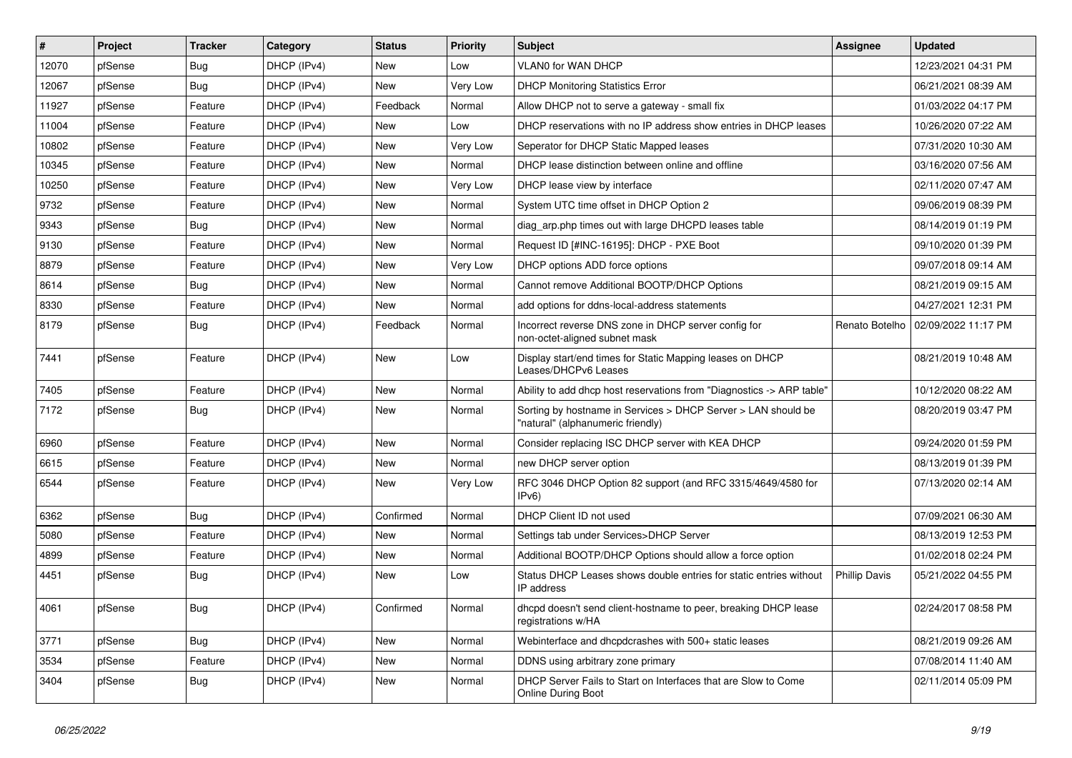| $\vert$ # | Project | <b>Tracker</b> | Category    | <b>Status</b> | <b>Priority</b> | Subject                                                                                            | <b>Assignee</b>      | <b>Updated</b>      |
|-----------|---------|----------------|-------------|---------------|-----------------|----------------------------------------------------------------------------------------------------|----------------------|---------------------|
| 12070     | pfSense | <b>Bug</b>     | DHCP (IPv4) | New           | Low             | VLAN0 for WAN DHCP                                                                                 |                      | 12/23/2021 04:31 PM |
| 12067     | pfSense | Bug            | DHCP (IPv4) | <b>New</b>    | Very Low        | <b>DHCP Monitoring Statistics Error</b>                                                            |                      | 06/21/2021 08:39 AM |
| 11927     | pfSense | Feature        | DHCP (IPv4) | Feedback      | Normal          | Allow DHCP not to serve a gateway - small fix                                                      |                      | 01/03/2022 04:17 PM |
| 11004     | pfSense | Feature        | DHCP (IPv4) | <b>New</b>    | Low             | DHCP reservations with no IP address show entries in DHCP leases                                   |                      | 10/26/2020 07:22 AM |
| 10802     | pfSense | Feature        | DHCP (IPv4) | <b>New</b>    | Very Low        | Seperator for DHCP Static Mapped leases                                                            |                      | 07/31/2020 10:30 AM |
| 10345     | pfSense | Feature        | DHCP (IPv4) | New           | Normal          | DHCP lease distinction between online and offline                                                  |                      | 03/16/2020 07:56 AM |
| 10250     | pfSense | Feature        | DHCP (IPv4) | New           | Very Low        | DHCP lease view by interface                                                                       |                      | 02/11/2020 07:47 AM |
| 9732      | pfSense | Feature        | DHCP (IPv4) | New           | Normal          | System UTC time offset in DHCP Option 2                                                            |                      | 09/06/2019 08:39 PM |
| 9343      | pfSense | Bug            | DHCP (IPv4) | New           | Normal          | diag_arp.php times out with large DHCPD leases table                                               |                      | 08/14/2019 01:19 PM |
| 9130      | pfSense | Feature        | DHCP (IPv4) | <b>New</b>    | Normal          | Request ID [#INC-16195]: DHCP - PXE Boot                                                           |                      | 09/10/2020 01:39 PM |
| 8879      | pfSense | Feature        | DHCP (IPv4) | New           | Very Low        | DHCP options ADD force options                                                                     |                      | 09/07/2018 09:14 AM |
| 8614      | pfSense | Bug            | DHCP (IPv4) | New           | Normal          | Cannot remove Additional BOOTP/DHCP Options                                                        |                      | 08/21/2019 09:15 AM |
| 8330      | pfSense | Feature        | DHCP (IPv4) | <b>New</b>    | Normal          | add options for ddns-local-address statements                                                      |                      | 04/27/2021 12:31 PM |
| 8179      | pfSense | Bug            | DHCP (IPv4) | Feedback      | Normal          | Incorrect reverse DNS zone in DHCP server config for<br>non-octet-aligned subnet mask              | Renato Botelho       | 02/09/2022 11:17 PM |
| 7441      | pfSense | Feature        | DHCP (IPv4) | <b>New</b>    | Low             | Display start/end times for Static Mapping leases on DHCP<br>Leases/DHCPv6 Leases                  |                      | 08/21/2019 10:48 AM |
| 7405      | pfSense | Feature        | DHCP (IPv4) | New           | Normal          | Ability to add dhcp host reservations from "Diagnostics -> ARP table"                              |                      | 10/12/2020 08:22 AM |
| 7172      | pfSense | Bug            | DHCP (IPv4) | New           | Normal          | Sorting by hostname in Services > DHCP Server > LAN should be<br>"natural" (alphanumeric friendly) |                      | 08/20/2019 03:47 PM |
| 6960      | pfSense | Feature        | DHCP (IPv4) | <b>New</b>    | Normal          | Consider replacing ISC DHCP server with KEA DHCP                                                   |                      | 09/24/2020 01:59 PM |
| 6615      | pfSense | Feature        | DHCP (IPv4) | New           | Normal          | new DHCP server option                                                                             |                      | 08/13/2019 01:39 PM |
| 6544      | pfSense | Feature        | DHCP (IPv4) | New           | Very Low        | RFC 3046 DHCP Option 82 support (and RFC 3315/4649/4580 for<br>IPv6                                |                      | 07/13/2020 02:14 AM |
| 6362      | pfSense | Bug            | DHCP (IPv4) | Confirmed     | Normal          | DHCP Client ID not used                                                                            |                      | 07/09/2021 06:30 AM |
| 5080      | pfSense | Feature        | DHCP (IPv4) | New           | Normal          | Settings tab under Services>DHCP Server                                                            |                      | 08/13/2019 12:53 PM |
| 4899      | pfSense | Feature        | DHCP (IPv4) | New           | Normal          | Additional BOOTP/DHCP Options should allow a force option                                          |                      | 01/02/2018 02:24 PM |
| 4451      | pfSense | <b>Bug</b>     | DHCP (IPv4) | New           | Low             | Status DHCP Leases shows double entries for static entries without<br>IP address                   | <b>Phillip Davis</b> | 05/21/2022 04:55 PM |
| 4061      | pfSense | Bug            | DHCP (IPv4) | Confirmed     | Normal          | dhcpd doesn't send client-hostname to peer, breaking DHCP lease<br>registrations w/HA              |                      | 02/24/2017 08:58 PM |
| 3771      | pfSense | <b>Bug</b>     | DHCP (IPv4) | New           | Normal          | Webinterface and dhcpdcrashes with 500+ static leases                                              |                      | 08/21/2019 09:26 AM |
| 3534      | pfSense | Feature        | DHCP (IPv4) | New           | Normal          | DDNS using arbitrary zone primary                                                                  |                      | 07/08/2014 11:40 AM |
| 3404      | pfSense | <b>Bug</b>     | DHCP (IPv4) | New           | Normal          | DHCP Server Fails to Start on Interfaces that are Slow to Come<br>Online During Boot               |                      | 02/11/2014 05:09 PM |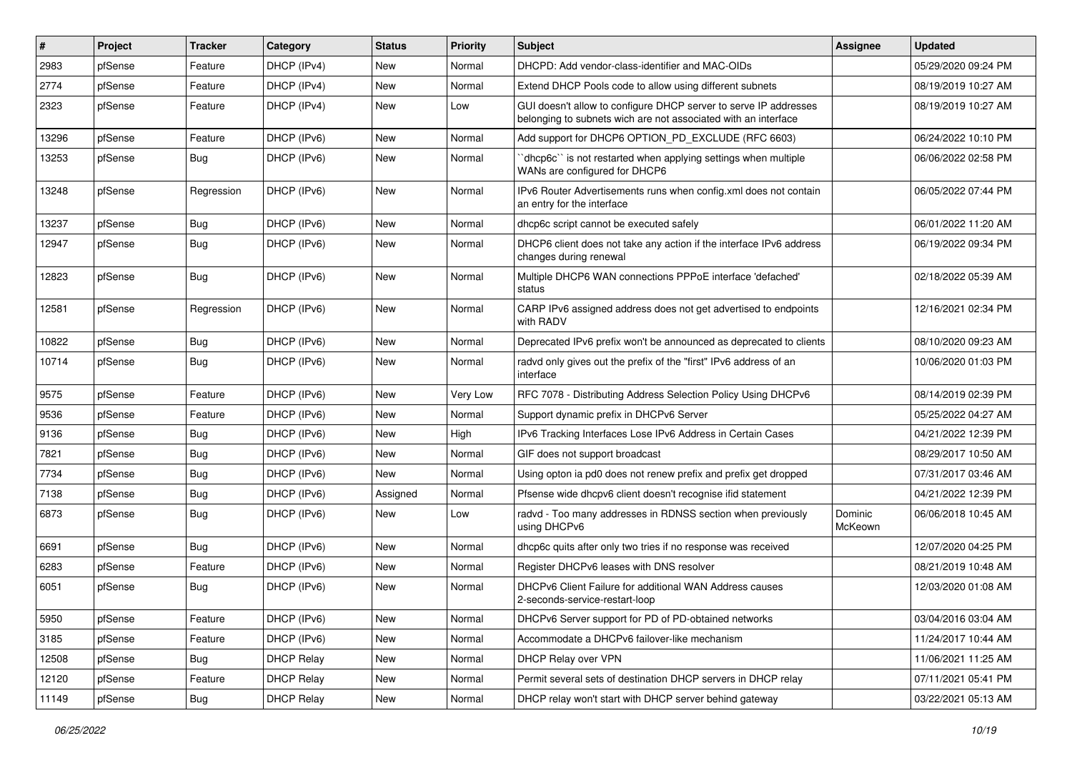| $\vert$ # | Project | <b>Tracker</b> | Category          | <b>Status</b> | <b>Priority</b> | Subject                                                                                                                            | <b>Assignee</b>    | <b>Updated</b>      |
|-----------|---------|----------------|-------------------|---------------|-----------------|------------------------------------------------------------------------------------------------------------------------------------|--------------------|---------------------|
| 2983      | pfSense | Feature        | DHCP (IPv4)       | New           | Normal          | DHCPD: Add vendor-class-identifier and MAC-OIDs                                                                                    |                    | 05/29/2020 09:24 PM |
| 2774      | pfSense | Feature        | DHCP (IPv4)       | <b>New</b>    | Normal          | Extend DHCP Pools code to allow using different subnets                                                                            |                    | 08/19/2019 10:27 AM |
| 2323      | pfSense | Feature        | DHCP (IPv4)       | New           | Low             | GUI doesn't allow to configure DHCP server to serve IP addresses<br>belonging to subnets wich are not associated with an interface |                    | 08/19/2019 10:27 AM |
| 13296     | pfSense | Feature        | DHCP (IPv6)       | <b>New</b>    | Normal          | Add support for DHCP6 OPTION_PD_EXCLUDE (RFC 6603)                                                                                 |                    | 06/24/2022 10:10 PM |
| 13253     | pfSense | Bug            | DHCP (IPv6)       | <b>New</b>    | Normal          | dhcp6c" is not restarted when applying settings when multiple<br>WANs are configured for DHCP6                                     |                    | 06/06/2022 02:58 PM |
| 13248     | pfSense | Regression     | DHCP (IPv6)       | <b>New</b>    | Normal          | IPv6 Router Advertisements runs when config.xml does not contain<br>an entry for the interface                                     |                    | 06/05/2022 07:44 PM |
| 13237     | pfSense | <b>Bug</b>     | DHCP (IPv6)       | <b>New</b>    | Normal          | dhcp6c script cannot be executed safely                                                                                            |                    | 06/01/2022 11:20 AM |
| 12947     | pfSense | <b>Bug</b>     | DHCP (IPv6)       | New           | Normal          | DHCP6 client does not take any action if the interface IPv6 address<br>changes during renewal                                      |                    | 06/19/2022 09:34 PM |
| 12823     | pfSense | Bug            | DHCP (IPv6)       | New           | Normal          | Multiple DHCP6 WAN connections PPPoE interface 'defached'<br>status                                                                |                    | 02/18/2022 05:39 AM |
| 12581     | pfSense | Regression     | DHCP (IPv6)       | <b>New</b>    | Normal          | CARP IPv6 assigned address does not get advertised to endpoints<br>with RADV                                                       |                    | 12/16/2021 02:34 PM |
| 10822     | pfSense | Bug            | DHCP (IPv6)       | <b>New</b>    | Normal          | Deprecated IPv6 prefix won't be announced as deprecated to clients                                                                 |                    | 08/10/2020 09:23 AM |
| 10714     | pfSense | Bug            | DHCP (IPv6)       | New           | Normal          | radvd only gives out the prefix of the "first" IPv6 address of an<br>interface                                                     |                    | 10/06/2020 01:03 PM |
| 9575      | pfSense | Feature        | DHCP (IPv6)       | <b>New</b>    | <b>Very Low</b> | RFC 7078 - Distributing Address Selection Policy Using DHCPv6                                                                      |                    | 08/14/2019 02:39 PM |
| 9536      | pfSense | Feature        | DHCP (IPv6)       | <b>New</b>    | Normal          | Support dynamic prefix in DHCPv6 Server                                                                                            |                    | 05/25/2022 04:27 AM |
| 9136      | pfSense | <b>Bug</b>     | DHCP (IPv6)       | <b>New</b>    | High            | IPv6 Tracking Interfaces Lose IPv6 Address in Certain Cases                                                                        |                    | 04/21/2022 12:39 PM |
| 7821      | pfSense | <b>Bug</b>     | DHCP (IPv6)       | <b>New</b>    | Normal          | GIF does not support broadcast                                                                                                     |                    | 08/29/2017 10:50 AM |
| 7734      | pfSense | <b>Bug</b>     | DHCP (IPv6)       | <b>New</b>    | Normal          | Using opton ia pd0 does not renew prefix and prefix get dropped                                                                    |                    | 07/31/2017 03:46 AM |
| 7138      | pfSense | <b>Bug</b>     | DHCP (IPv6)       | Assigned      | Normal          | Pfsense wide dhcpv6 client doesn't recognise ifid statement                                                                        |                    | 04/21/2022 12:39 PM |
| 6873      | pfSense | Bug            | DHCP (IPv6)       | New           | Low             | radvd - Too many addresses in RDNSS section when previously<br>using DHCPv6                                                        | Dominic<br>McKeown | 06/06/2018 10:45 AM |
| 6691      | pfSense | Bug            | DHCP (IPv6)       | <b>New</b>    | Normal          | dhcp6c quits after only two tries if no response was received                                                                      |                    | 12/07/2020 04:25 PM |
| 6283      | pfSense | Feature        | DHCP (IPv6)       | <b>New</b>    | Normal          | Register DHCPv6 leases with DNS resolver                                                                                           |                    | 08/21/2019 10:48 AM |
| 6051      | pfSense | Bug            | DHCP (IPv6)       | <b>New</b>    | Normal          | DHCPv6 Client Failure for additional WAN Address causes<br>2-seconds-service-restart-loop                                          |                    | 12/03/2020 01:08 AM |
| 5950      | pfSense | Feature        | DHCP (IPv6)       | New           | Normal          | DHCPv6 Server support for PD of PD-obtained networks                                                                               |                    | 03/04/2016 03:04 AM |
| 3185      | pfSense | Feature        | DHCP (IPv6)       | New           | Normal          | Accommodate a DHCPv6 failover-like mechanism                                                                                       |                    | 11/24/2017 10:44 AM |
| 12508     | pfSense | <b>Bug</b>     | <b>DHCP Relay</b> | New           | Normal          | DHCP Relay over VPN                                                                                                                |                    | 11/06/2021 11:25 AM |
| 12120     | pfSense | Feature        | <b>DHCP Relay</b> | New           | Normal          | Permit several sets of destination DHCP servers in DHCP relay                                                                      |                    | 07/11/2021 05:41 PM |
| 11149     | pfSense | Bug            | <b>DHCP Relay</b> | New           | Normal          | DHCP relay won't start with DHCP server behind gateway                                                                             |                    | 03/22/2021 05:13 AM |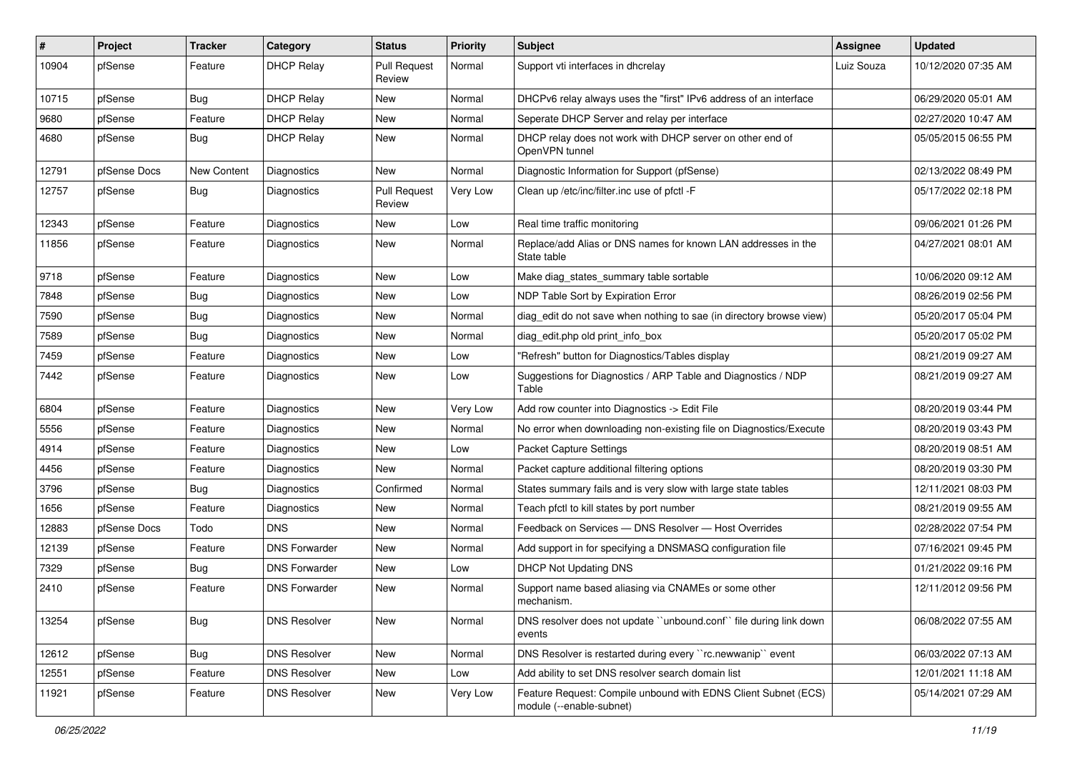| $\pmb{\#}$ | Project      | <b>Tracker</b> | Category             | <b>Status</b>                 | <b>Priority</b> | Subject                                                                                    | <b>Assignee</b> | <b>Updated</b>      |
|------------|--------------|----------------|----------------------|-------------------------------|-----------------|--------------------------------------------------------------------------------------------|-----------------|---------------------|
| 10904      | pfSense      | Feature        | <b>DHCP Relay</b>    | <b>Pull Request</b><br>Review | Normal          | Support vti interfaces in dhcrelay                                                         | Luiz Souza      | 10/12/2020 07:35 AM |
| 10715      | pfSense      | Bug            | <b>DHCP Relay</b>    | New                           | Normal          | DHCPv6 relay always uses the "first" IPv6 address of an interface                          |                 | 06/29/2020 05:01 AM |
| 9680       | pfSense      | Feature        | <b>DHCP Relay</b>    | New                           | Normal          | Seperate DHCP Server and relay per interface                                               |                 | 02/27/2020 10:47 AM |
| 4680       | pfSense      | Bug            | <b>DHCP Relay</b>    | New                           | Normal          | DHCP relay does not work with DHCP server on other end of<br>OpenVPN tunnel                |                 | 05/05/2015 06:55 PM |
| 12791      | pfSense Docs | New Content    | Diagnostics          | New                           | Normal          | Diagnostic Information for Support (pfSense)                                               |                 | 02/13/2022 08:49 PM |
| 12757      | pfSense      | Bug            | Diagnostics          | <b>Pull Request</b><br>Review | Very Low        | Clean up /etc/inc/filter.inc use of pfctl -F                                               |                 | 05/17/2022 02:18 PM |
| 12343      | pfSense      | Feature        | Diagnostics          | New                           | Low             | Real time traffic monitoring                                                               |                 | 09/06/2021 01:26 PM |
| 11856      | pfSense      | Feature        | Diagnostics          | New                           | Normal          | Replace/add Alias or DNS names for known LAN addresses in the<br>State table               |                 | 04/27/2021 08:01 AM |
| 9718       | pfSense      | Feature        | Diagnostics          | <b>New</b>                    | Low             | Make diag_states_summary table sortable                                                    |                 | 10/06/2020 09:12 AM |
| 7848       | pfSense      | <b>Bug</b>     | Diagnostics          | New                           | Low             | NDP Table Sort by Expiration Error                                                         |                 | 08/26/2019 02:56 PM |
| 7590       | pfSense      | <b>Bug</b>     | Diagnostics          | New                           | Normal          | diag edit do not save when nothing to sae (in directory browse view)                       |                 | 05/20/2017 05:04 PM |
| 7589       | pfSense      | <b>Bug</b>     | Diagnostics          | <b>New</b>                    | Normal          | diag_edit.php old print_info_box                                                           |                 | 05/20/2017 05:02 PM |
| 7459       | pfSense      | Feature        | Diagnostics          | <b>New</b>                    | Low             | "Refresh" button for Diagnostics/Tables display                                            |                 | 08/21/2019 09:27 AM |
| 7442       | pfSense      | Feature        | Diagnostics          | New                           | Low             | Suggestions for Diagnostics / ARP Table and Diagnostics / NDP<br>Table                     |                 | 08/21/2019 09:27 AM |
| 6804       | pfSense      | Feature        | Diagnostics          | <b>New</b>                    | Very Low        | Add row counter into Diagnostics -> Edit File                                              |                 | 08/20/2019 03:44 PM |
| 5556       | pfSense      | Feature        | Diagnostics          | New                           | Normal          | No error when downloading non-existing file on Diagnostics/Execute                         |                 | 08/20/2019 03:43 PM |
| 4914       | pfSense      | Feature        | Diagnostics          | New                           | Low             | Packet Capture Settings                                                                    |                 | 08/20/2019 08:51 AM |
| 4456       | pfSense      | Feature        | Diagnostics          | New                           | Normal          | Packet capture additional filtering options                                                |                 | 08/20/2019 03:30 PM |
| 3796       | pfSense      | <b>Bug</b>     | Diagnostics          | Confirmed                     | Normal          | States summary fails and is very slow with large state tables                              |                 | 12/11/2021 08:03 PM |
| 1656       | pfSense      | Feature        | Diagnostics          | <b>New</b>                    | Normal          | Teach pfctl to kill states by port number                                                  |                 | 08/21/2019 09:55 AM |
| 12883      | pfSense Docs | Todo           | <b>DNS</b>           | <b>New</b>                    | Normal          | Feedback on Services - DNS Resolver - Host Overrides                                       |                 | 02/28/2022 07:54 PM |
| 12139      | pfSense      | Feature        | <b>DNS Forwarder</b> | New                           | Normal          | Add support in for specifying a DNSMASQ configuration file                                 |                 | 07/16/2021 09:45 PM |
| 7329       | pfSense      | <b>Bug</b>     | <b>DNS Forwarder</b> | New                           | Low             | <b>DHCP Not Updating DNS</b>                                                               |                 | 01/21/2022 09:16 PM |
| 2410       | pfSense      | Feature        | <b>DNS Forwarder</b> | <b>New</b>                    | Normal          | Support name based aliasing via CNAMEs or some other<br>mechanism.                         |                 | 12/11/2012 09:56 PM |
| 13254      | pfSense      | Bug            | <b>DNS Resolver</b>  | New                           | Normal          | DNS resolver does not update "unbound.conf" file during link down<br>events                |                 | 06/08/2022 07:55 AM |
| 12612      | pfSense      | Bug            | <b>DNS Resolver</b>  | New                           | Normal          | DNS Resolver is restarted during every "rc.newwanip" event                                 |                 | 06/03/2022 07:13 AM |
| 12551      | pfSense      | Feature        | <b>DNS Resolver</b>  | New                           | Low             | Add ability to set DNS resolver search domain list                                         |                 | 12/01/2021 11:18 AM |
| 11921      | pfSense      | Feature        | <b>DNS Resolver</b>  | New                           | Very Low        | Feature Request: Compile unbound with EDNS Client Subnet (ECS)<br>module (--enable-subnet) |                 | 05/14/2021 07:29 AM |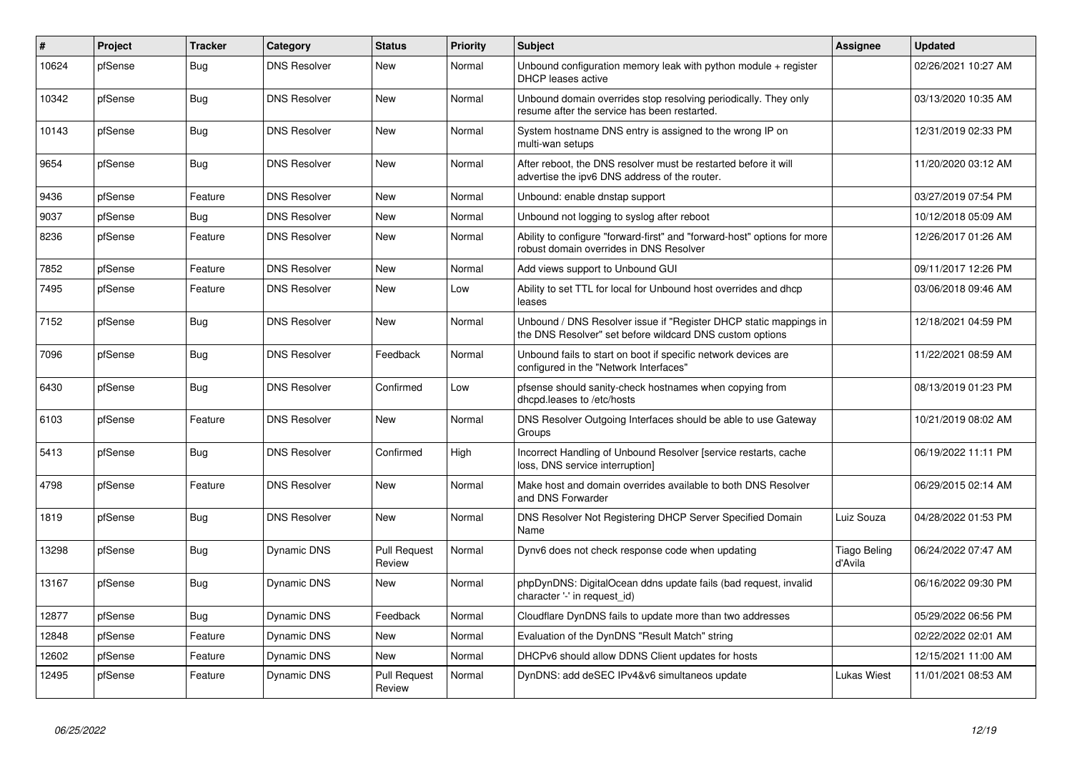| $\vert$ # | Project | <b>Tracker</b> | Category            | <b>Status</b>                 | Priority | <b>Subject</b>                                                                                                                | Assignee                       | <b>Updated</b>      |
|-----------|---------|----------------|---------------------|-------------------------------|----------|-------------------------------------------------------------------------------------------------------------------------------|--------------------------------|---------------------|
| 10624     | pfSense | Bug            | <b>DNS Resolver</b> | <b>New</b>                    | Normal   | Unbound configuration memory leak with python module $+$ register<br>DHCP leases active                                       |                                | 02/26/2021 10:27 AM |
| 10342     | pfSense | <b>Bug</b>     | <b>DNS Resolver</b> | <b>New</b>                    | Normal   | Unbound domain overrides stop resolving periodically. They only<br>resume after the service has been restarted.               |                                | 03/13/2020 10:35 AM |
| 10143     | pfSense | Bug            | <b>DNS Resolver</b> | <b>New</b>                    | Normal   | System hostname DNS entry is assigned to the wrong IP on<br>multi-wan setups                                                  |                                | 12/31/2019 02:33 PM |
| 9654      | pfSense | Bug            | <b>DNS Resolver</b> | <b>New</b>                    | Normal   | After reboot, the DNS resolver must be restarted before it will<br>advertise the ipv6 DNS address of the router.              |                                | 11/20/2020 03:12 AM |
| 9436      | pfSense | Feature        | <b>DNS Resolver</b> | <b>New</b>                    | Normal   | Unbound: enable dnstap support                                                                                                |                                | 03/27/2019 07:54 PM |
| 9037      | pfSense | <b>Bug</b>     | <b>DNS Resolver</b> | <b>New</b>                    | Normal   | Unbound not logging to syslog after reboot                                                                                    |                                | 10/12/2018 05:09 AM |
| 8236      | pfSense | Feature        | <b>DNS Resolver</b> | New                           | Normal   | Ability to configure "forward-first" and "forward-host" options for more<br>robust domain overrides in DNS Resolver           |                                | 12/26/2017 01:26 AM |
| 7852      | pfSense | Feature        | <b>DNS Resolver</b> | <b>New</b>                    | Normal   | Add views support to Unbound GUI                                                                                              |                                | 09/11/2017 12:26 PM |
| 7495      | pfSense | Feature        | <b>DNS Resolver</b> | New                           | Low      | Ability to set TTL for local for Unbound host overrides and dhcp<br>leases                                                    |                                | 03/06/2018 09:46 AM |
| 7152      | pfSense | <b>Bug</b>     | <b>DNS Resolver</b> | <b>New</b>                    | Normal   | Unbound / DNS Resolver issue if "Register DHCP static mappings in<br>the DNS Resolver" set before wildcard DNS custom options |                                | 12/18/2021 04:59 PM |
| 7096      | pfSense | Bug            | <b>DNS Resolver</b> | Feedback                      | Normal   | Unbound fails to start on boot if specific network devices are<br>configured in the "Network Interfaces"                      |                                | 11/22/2021 08:59 AM |
| 6430      | pfSense | Bug            | <b>DNS Resolver</b> | Confirmed                     | Low      | pfsense should sanity-check hostnames when copying from<br>dhcpd.leases to /etc/hosts                                         |                                | 08/13/2019 01:23 PM |
| 6103      | pfSense | Feature        | <b>DNS Resolver</b> | New                           | Normal   | DNS Resolver Outgoing Interfaces should be able to use Gateway<br>Groups                                                      |                                | 10/21/2019 08:02 AM |
| 5413      | pfSense | Bug            | <b>DNS Resolver</b> | Confirmed                     | High     | Incorrect Handling of Unbound Resolver [service restarts, cache<br>loss, DNS service interruption]                            |                                | 06/19/2022 11:11 PM |
| 4798      | pfSense | Feature        | <b>DNS Resolver</b> | <b>New</b>                    | Normal   | Make host and domain overrides available to both DNS Resolver<br>and DNS Forwarder                                            |                                | 06/29/2015 02:14 AM |
| 1819      | pfSense | <b>Bug</b>     | <b>DNS Resolver</b> | <b>New</b>                    | Normal   | DNS Resolver Not Registering DHCP Server Specified Domain<br>Name                                                             | Luiz Souza                     | 04/28/2022 01:53 PM |
| 13298     | pfSense | Bug            | Dynamic DNS         | <b>Pull Request</b><br>Review | Normal   | Dynv6 does not check response code when updating                                                                              | <b>Tiago Beling</b><br>d'Avila | 06/24/2022 07:47 AM |
| 13167     | pfSense | Bug            | Dynamic DNS         | <b>New</b>                    | Normal   | phpDynDNS: DigitalOcean ddns update fails (bad request, invalid<br>character '-' in request_id)                               |                                | 06/16/2022 09:30 PM |
| 12877     | pfSense | Bug            | Dynamic DNS         | Feedback                      | Normal   | Cloudflare DynDNS fails to update more than two addresses                                                                     |                                | 05/29/2022 06:56 PM |
| 12848     | pfSense | Feature        | Dynamic DNS         | <b>New</b>                    | Normal   | Evaluation of the DynDNS "Result Match" string                                                                                |                                | 02/22/2022 02:01 AM |
| 12602     | pfSense | Feature        | Dynamic DNS         | <b>New</b>                    | Normal   | DHCPv6 should allow DDNS Client updates for hosts                                                                             |                                | 12/15/2021 11:00 AM |
| 12495     | pfSense | Feature        | Dynamic DNS         | <b>Pull Request</b><br>Review | Normal   | DynDNS: add deSEC IPv4&v6 simultaneos update                                                                                  | <b>Lukas Wiest</b>             | 11/01/2021 08:53 AM |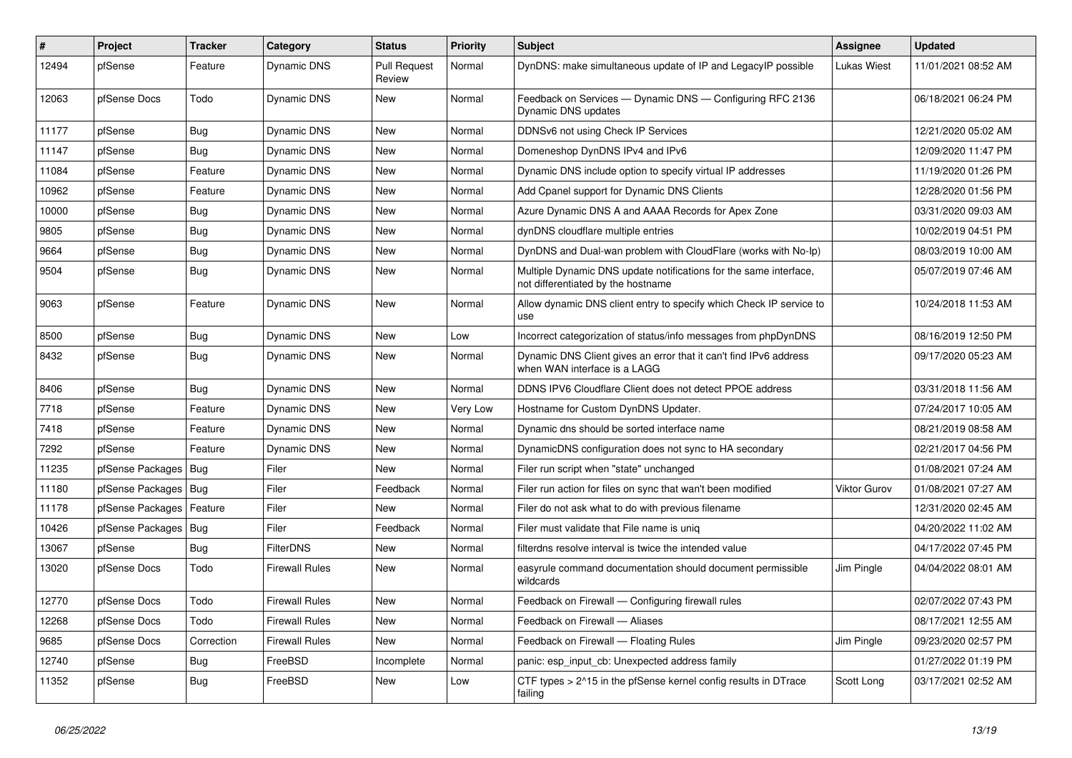| $\overline{\boldsymbol{H}}$ | Project                | <b>Tracker</b> | Category              | <b>Status</b>                 | <b>Priority</b> | <b>Subject</b>                                                                                          | Assignee            | <b>Updated</b>      |
|-----------------------------|------------------------|----------------|-----------------------|-------------------------------|-----------------|---------------------------------------------------------------------------------------------------------|---------------------|---------------------|
| 12494                       | pfSense                | Feature        | Dynamic DNS           | <b>Pull Request</b><br>Review | Normal          | DynDNS: make simultaneous update of IP and LegacyIP possible                                            | Lukas Wiest         | 11/01/2021 08:52 AM |
| 12063                       | pfSense Docs           | Todo           | Dynamic DNS           | New                           | Normal          | Feedback on Services — Dynamic DNS — Configuring RFC 2136<br>Dynamic DNS updates                        |                     | 06/18/2021 06:24 PM |
| 11177                       | pfSense                | <b>Bug</b>     | Dynamic DNS           | <b>New</b>                    | Normal          | DDNSv6 not using Check IP Services                                                                      |                     | 12/21/2020 05:02 AM |
| 11147                       | pfSense                | Bug            | Dynamic DNS           | New                           | Normal          | Domeneshop DynDNS IPv4 and IPv6                                                                         |                     | 12/09/2020 11:47 PM |
| 11084                       | pfSense                | Feature        | <b>Dynamic DNS</b>    | New                           | Normal          | Dynamic DNS include option to specify virtual IP addresses                                              |                     | 11/19/2020 01:26 PM |
| 10962                       | pfSense                | Feature        | Dynamic DNS           | <b>New</b>                    | Normal          | Add Cpanel support for Dynamic DNS Clients                                                              |                     | 12/28/2020 01:56 PM |
| 10000                       | pfSense                | <b>Bug</b>     | Dynamic DNS           | New                           | Normal          | Azure Dynamic DNS A and AAAA Records for Apex Zone                                                      |                     | 03/31/2020 09:03 AM |
| 9805                        | pfSense                | Bug            | Dynamic DNS           | New                           | Normal          | dynDNS cloudflare multiple entries                                                                      |                     | 10/02/2019 04:51 PM |
| 9664                        | pfSense                | Bug            | <b>Dynamic DNS</b>    | New                           | Normal          | DynDNS and Dual-wan problem with CloudFlare (works with No-Ip)                                          |                     | 08/03/2019 10:00 AM |
| 9504                        | pfSense                | Bug            | Dynamic DNS           | <b>New</b>                    | Normal          | Multiple Dynamic DNS update notifications for the same interface,<br>not differentiated by the hostname |                     | 05/07/2019 07:46 AM |
| 9063                        | pfSense                | Feature        | Dynamic DNS           | <b>New</b>                    | Normal          | Allow dynamic DNS client entry to specify which Check IP service to<br>use                              |                     | 10/24/2018 11:53 AM |
| 8500                        | pfSense                | Bug            | Dynamic DNS           | <b>New</b>                    | Low             | Incorrect categorization of status/info messages from phpDynDNS                                         |                     | 08/16/2019 12:50 PM |
| 8432                        | pfSense                | <b>Bug</b>     | Dynamic DNS           | New                           | Normal          | Dynamic DNS Client gives an error that it can't find IPv6 address<br>when WAN interface is a LAGG       |                     | 09/17/2020 05:23 AM |
| 8406                        | pfSense                | <b>Bug</b>     | Dynamic DNS           | <b>New</b>                    | Normal          | DDNS IPV6 Cloudflare Client does not detect PPOE address                                                |                     | 03/31/2018 11:56 AM |
| 7718                        | pfSense                | Feature        | Dynamic DNS           | New                           | Very Low        | Hostname for Custom DynDNS Updater.                                                                     |                     | 07/24/2017 10:05 AM |
| 7418                        | pfSense                | Feature        | Dynamic DNS           | New                           | Normal          | Dynamic dns should be sorted interface name                                                             |                     | 08/21/2019 08:58 AM |
| 7292                        | pfSense                | Feature        | Dynamic DNS           | <b>New</b>                    | Normal          | DynamicDNS configuration does not sync to HA secondary                                                  |                     | 02/21/2017 04:56 PM |
| 11235                       | pfSense Packages       | <b>Bug</b>     | Filer                 | New                           | Normal          | Filer run script when "state" unchanged                                                                 |                     | 01/08/2021 07:24 AM |
| 11180                       | pfSense Packages   Bug |                | Filer                 | Feedback                      | Normal          | Filer run action for files on sync that wan't been modified                                             | <b>Viktor Gurov</b> | 01/08/2021 07:27 AM |
| 11178                       | pfSense Packages       | Feature        | Filer                 | New                           | Normal          | Filer do not ask what to do with previous filename                                                      |                     | 12/31/2020 02:45 AM |
| 10426                       | pfSense Packages       | <b>Bug</b>     | Filer                 | Feedback                      | Normal          | Filer must validate that File name is uniq                                                              |                     | 04/20/2022 11:02 AM |
| 13067                       | pfSense                | Bug            | <b>FilterDNS</b>      | New                           | Normal          | filterdns resolve interval is twice the intended value                                                  |                     | 04/17/2022 07:45 PM |
| 13020                       | pfSense Docs           | Todo           | Firewall Rules        | New                           | Normal          | easyrule command documentation should document permissible<br>wildcards                                 | Jim Pingle          | 04/04/2022 08:01 AM |
| 12770                       | pfSense Docs           | Todo           | <b>Firewall Rules</b> | <b>New</b>                    | Normal          | Feedback on Firewall - Configuring firewall rules                                                       |                     | 02/07/2022 07:43 PM |
| 12268                       | pfSense Docs           | Todo           | <b>Firewall Rules</b> | <b>New</b>                    | Normal          | Feedback on Firewall - Aliases                                                                          |                     | 08/17/2021 12:55 AM |
| 9685                        | pfSense Docs           | Correction     | <b>Firewall Rules</b> | <b>New</b>                    | Normal          | Feedback on Firewall - Floating Rules                                                                   | Jim Pingle          | 09/23/2020 02:57 PM |
| 12740                       | pfSense                | Bug            | FreeBSD               | Incomplete                    | Normal          | panic: esp input cb: Unexpected address family                                                          |                     | 01/27/2022 01:19 PM |
| 11352                       | pfSense                | Bug            | FreeBSD               | <b>New</b>                    | Low             | CTF types > 2^15 in the pfSense kernel config results in DTrace<br>failing                              | Scott Long          | 03/17/2021 02:52 AM |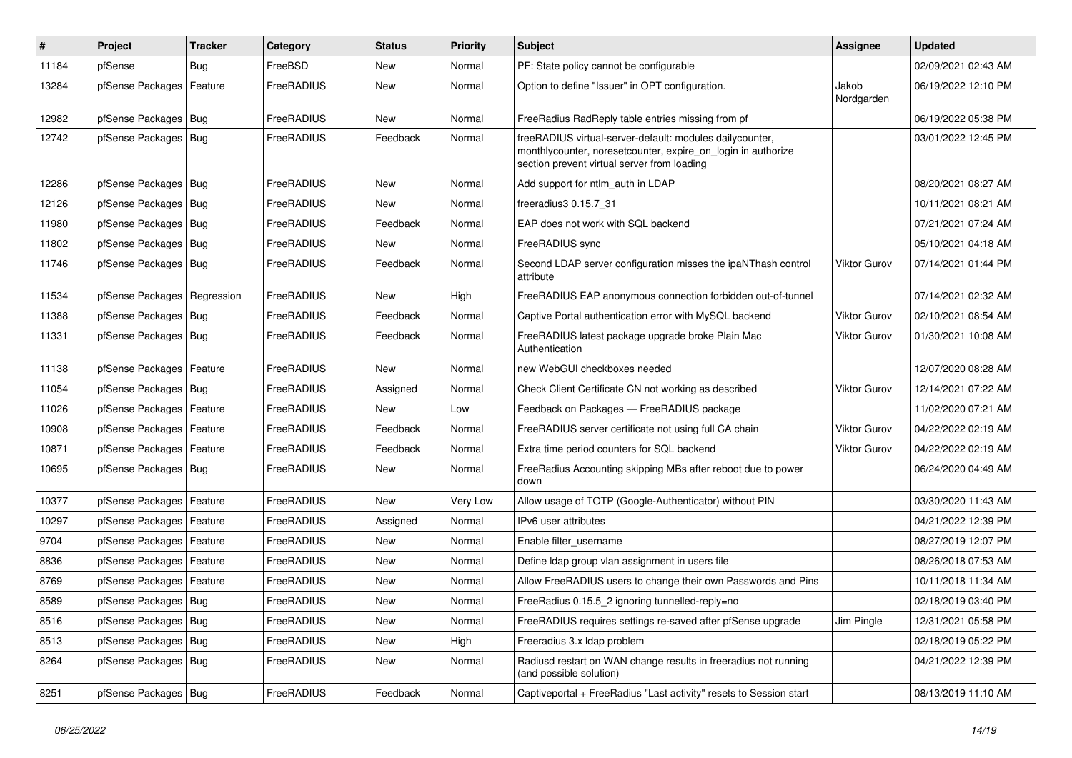| $\sharp$ | Project                    | Tracker    | Category   | <b>Status</b> | <b>Priority</b> | Subject                                                                                                                                                                 | Assignee            | <b>Updated</b>      |
|----------|----------------------------|------------|------------|---------------|-----------------|-------------------------------------------------------------------------------------------------------------------------------------------------------------------------|---------------------|---------------------|
| 11184    | pfSense                    | <b>Bug</b> | FreeBSD    | New           | Normal          | PF: State policy cannot be configurable                                                                                                                                 |                     | 02/09/2021 02:43 AM |
| 13284    | pfSense Packages           | Feature    | FreeRADIUS | New           | Normal          | Option to define "Issuer" in OPT configuration.                                                                                                                         | Jakob<br>Nordgarden | 06/19/2022 12:10 PM |
| 12982    | pfSense Packages   Bug     |            | FreeRADIUS | New           | Normal          | FreeRadius RadReply table entries missing from pf                                                                                                                       |                     | 06/19/2022 05:38 PM |
| 12742    | pfSense Packages   Bug     |            | FreeRADIUS | Feedback      | Normal          | freeRADIUS virtual-server-default: modules dailycounter,<br>monthlycounter, noresetcounter, expire_on_login in authorize<br>section prevent virtual server from loading |                     | 03/01/2022 12:45 PM |
| 12286    | pfSense Packages   Bug     |            | FreeRADIUS | <b>New</b>    | Normal          | Add support for ntlm auth in LDAP                                                                                                                                       |                     | 08/20/2021 08:27 AM |
| 12126    | pfSense Packages   Bug     |            | FreeRADIUS | New           | Normal          | freeradius3 0.15.7 31                                                                                                                                                   |                     | 10/11/2021 08:21 AM |
| 11980    | pfSense Packages   Bug     |            | FreeRADIUS | Feedback      | Normal          | EAP does not work with SQL backend                                                                                                                                      |                     | 07/21/2021 07:24 AM |
| 11802    | pfSense Packages   Bug     |            | FreeRADIUS | New           | Normal          | FreeRADIUS sync                                                                                                                                                         |                     | 05/10/2021 04:18 AM |
| 11746    | pfSense Packages   Bug     |            | FreeRADIUS | Feedback      | Normal          | Second LDAP server configuration misses the ipaNThash control<br>attribute                                                                                              | <b>Viktor Gurov</b> | 07/14/2021 01:44 PM |
| 11534    | pfSense Packages           | Regression | FreeRADIUS | <b>New</b>    | High            | FreeRADIUS EAP anonymous connection forbidden out-of-tunnel                                                                                                             |                     | 07/14/2021 02:32 AM |
| 11388    | pfSense Packages   Bug     |            | FreeRADIUS | Feedback      | Normal          | Captive Portal authentication error with MySQL backend                                                                                                                  | Viktor Gurov        | 02/10/2021 08:54 AM |
| 11331    | pfSense Packages   Bug     |            | FreeRADIUS | Feedback      | Normal          | FreeRADIUS latest package upgrade broke Plain Mac<br>Authentication                                                                                                     | <b>Viktor Gurov</b> | 01/30/2021 10:08 AM |
| 11138    | pfSense Packages           | Feature    | FreeRADIUS | <b>New</b>    | Normal          | new WebGUI checkboxes needed                                                                                                                                            |                     | 12/07/2020 08:28 AM |
| 11054    | pfSense Packages   Bug     |            | FreeRADIUS | Assigned      | Normal          | Check Client Certificate CN not working as described                                                                                                                    | Viktor Gurov        | 12/14/2021 07:22 AM |
| 11026    | pfSense Packages   Feature |            | FreeRADIUS | New           | Low             | Feedback on Packages - FreeRADIUS package                                                                                                                               |                     | 11/02/2020 07:21 AM |
| 10908    | pfSense Packages           | Feature    | FreeRADIUS | Feedback      | Normal          | FreeRADIUS server certificate not using full CA chain                                                                                                                   | Viktor Gurov        | 04/22/2022 02:19 AM |
| 10871    | pfSense Packages           | Feature    | FreeRADIUS | Feedback      | Normal          | Extra time period counters for SQL backend                                                                                                                              | Viktor Gurov        | 04/22/2022 02:19 AM |
| 10695    | pfSense Packages   Bug     |            | FreeRADIUS | New           | Normal          | FreeRadius Accounting skipping MBs after reboot due to power<br>down                                                                                                    |                     | 06/24/2020 04:49 AM |
| 10377    | pfSense Packages   Feature |            | FreeRADIUS | <b>New</b>    | <b>Very Low</b> | Allow usage of TOTP (Google-Authenticator) without PIN                                                                                                                  |                     | 03/30/2020 11:43 AM |
| 10297    | pfSense Packages           | Feature    | FreeRADIUS | Assigned      | Normal          | IPv6 user attributes                                                                                                                                                    |                     | 04/21/2022 12:39 PM |
| 9704     | pfSense Packages           | Feature    | FreeRADIUS | New           | Normal          | Enable filter username                                                                                                                                                  |                     | 08/27/2019 12:07 PM |
| 8836     | pfSense Packages   Feature |            | FreeRADIUS | New           | Normal          | Define Idap group vlan assignment in users file                                                                                                                         |                     | 08/26/2018 07:53 AM |
| 8769     | pfSense Packages           | Feature    | FreeRADIUS | <b>New</b>    | Normal          | Allow FreeRADIUS users to change their own Passwords and Pins                                                                                                           |                     | 10/11/2018 11:34 AM |
| 8589     | pfSense Packages   Bug     |            | FreeRADIUS | New           | Normal          | FreeRadius 0.15.5 2 ignoring tunnelled-reply=no                                                                                                                         |                     | 02/18/2019 03:40 PM |
| 8516     | pfSense Packages   Bug     |            | FreeRADIUS | New           | Normal          | FreeRADIUS requires settings re-saved after pfSense upgrade                                                                                                             | Jim Pingle          | 12/31/2021 05:58 PM |
| 8513     | pfSense Packages   Bug     |            | FreeRADIUS | New           | High            | Freeradius 3.x Idap problem                                                                                                                                             |                     | 02/18/2019 05:22 PM |
| 8264     | pfSense Packages   Bug     |            | FreeRADIUS | New           | Normal          | Radiusd restart on WAN change results in freeradius not running<br>(and possible solution)                                                                              |                     | 04/21/2022 12:39 PM |
| 8251     | pfSense Packages   Bug     |            | FreeRADIUS | Feedback      | Normal          | Captiveportal + FreeRadius "Last activity" resets to Session start                                                                                                      |                     | 08/13/2019 11:10 AM |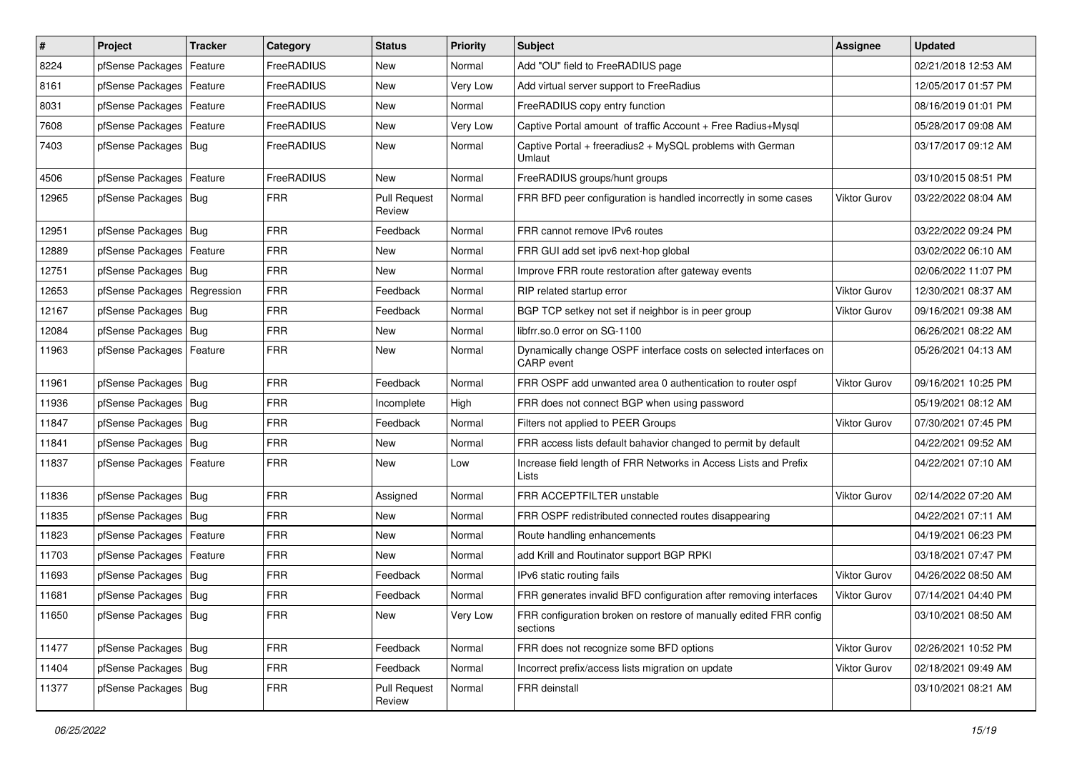| $\vert$ # | Project                       | <b>Tracker</b> | Category   | <b>Status</b>                 | <b>Priority</b> | Subject                                                                                | Assignee            | <b>Updated</b>      |
|-----------|-------------------------------|----------------|------------|-------------------------------|-----------------|----------------------------------------------------------------------------------------|---------------------|---------------------|
| 8224      | pfSense Packages              | Feature        | FreeRADIUS | New                           | Normal          | Add "OU" field to FreeRADIUS page                                                      |                     | 02/21/2018 12:53 AM |
| 8161      | pfSense Packages   Feature    |                | FreeRADIUS | New                           | Very Low        | Add virtual server support to FreeRadius                                               |                     | 12/05/2017 01:57 PM |
| 8031      | pfSense Packages   Feature    |                | FreeRADIUS | New                           | Normal          | FreeRADIUS copy entry function                                                         |                     | 08/16/2019 01:01 PM |
| 7608      | pfSense Packages   Feature    |                | FreeRADIUS | New                           | Very Low        | Captive Portal amount of traffic Account + Free Radius+Mysql                           |                     | 05/28/2017 09:08 AM |
| 7403      | pfSense Packages   Bug        |                | FreeRADIUS | New                           | Normal          | Captive Portal + freeradius2 + MySQL problems with German<br>Umlaut                    |                     | 03/17/2017 09:12 AM |
| 4506      | pfSense Packages   Feature    |                | FreeRADIUS | New                           | Normal          | FreeRADIUS groups/hunt groups                                                          |                     | 03/10/2015 08:51 PM |
| 12965     | pfSense Packages   Bug        |                | <b>FRR</b> | <b>Pull Request</b><br>Review | Normal          | FRR BFD peer configuration is handled incorrectly in some cases                        | <b>Viktor Gurov</b> | 03/22/2022 08:04 AM |
| 12951     | pfSense Packages   Bug        |                | <b>FRR</b> | Feedback                      | Normal          | FRR cannot remove IPv6 routes                                                          |                     | 03/22/2022 09:24 PM |
| 12889     | pfSense Packages              | Feature        | <b>FRR</b> | New                           | Normal          | FRR GUI add set ipv6 next-hop global                                                   |                     | 03/02/2022 06:10 AM |
| 12751     | pfSense Packages   Bug        |                | <b>FRR</b> | <b>New</b>                    | Normal          | Improve FRR route restoration after gateway events                                     |                     | 02/06/2022 11:07 PM |
| 12653     | pfSense Packages   Regression |                | <b>FRR</b> | Feedback                      | Normal          | RIP related startup error                                                              | Viktor Gurov        | 12/30/2021 08:37 AM |
| 12167     | pfSense Packages   Bug        |                | <b>FRR</b> | Feedback                      | Normal          | BGP TCP setkey not set if neighbor is in peer group                                    | <b>Viktor Gurov</b> | 09/16/2021 09:38 AM |
| 12084     | pfSense Packages   Bug        |                | <b>FRR</b> | New                           | Normal          | libfrr.so.0 error on SG-1100                                                           |                     | 06/26/2021 08:22 AM |
| 11963     | pfSense Packages   Feature    |                | <b>FRR</b> | New                           | Normal          | Dynamically change OSPF interface costs on selected interfaces on<br><b>CARP</b> event |                     | 05/26/2021 04:13 AM |
| 11961     | pfSense Packages   Bug        |                | <b>FRR</b> | Feedback                      | Normal          | FRR OSPF add unwanted area 0 authentication to router ospf                             | <b>Viktor Gurov</b> | 09/16/2021 10:25 PM |
| 11936     | pfSense Packages   Bug        |                | <b>FRR</b> | Incomplete                    | High            | FRR does not connect BGP when using password                                           |                     | 05/19/2021 08:12 AM |
| 11847     | pfSense Packages   Bug        |                | <b>FRR</b> | Feedback                      | Normal          | Filters not applied to PEER Groups                                                     | Viktor Gurov        | 07/30/2021 07:45 PM |
| 11841     | pfSense Packages              | Bug            | <b>FRR</b> | <b>New</b>                    | Normal          | FRR access lists default bahavior changed to permit by default                         |                     | 04/22/2021 09:52 AM |
| 11837     | pfSense Packages              | Feature        | <b>FRR</b> | New                           | Low             | Increase field length of FRR Networks in Access Lists and Prefix<br>Lists              |                     | 04/22/2021 07:10 AM |
| 11836     | pfSense Packages   Bug        |                | <b>FRR</b> | Assigned                      | Normal          | FRR ACCEPTFILTER unstable                                                              | <b>Viktor Gurov</b> | 02/14/2022 07:20 AM |
| 11835     | pfSense Packages   Bug        |                | <b>FRR</b> | New                           | Normal          | FRR OSPF redistributed connected routes disappearing                                   |                     | 04/22/2021 07:11 AM |
| 11823     | pfSense Packages   Feature    |                | <b>FRR</b> | <b>New</b>                    | Normal          | Route handling enhancements                                                            |                     | 04/19/2021 06:23 PM |
| 11703     | pfSense Packages              | Feature        | <b>FRR</b> | New                           | Normal          | add Krill and Routinator support BGP RPKI                                              |                     | 03/18/2021 07:47 PM |
| 11693     | pfSense Packages   Bug        |                | <b>FRR</b> | Feedback                      | Normal          | IPv6 static routing fails                                                              | <b>Viktor Gurov</b> | 04/26/2022 08:50 AM |
| 11681     | pfSense Packages   Bug        |                | <b>FRR</b> | Feedback                      | Normal          | FRR generates invalid BFD configuration after removing interfaces                      | <b>Viktor Gurov</b> | 07/14/2021 04:40 PM |
| 11650     | pfSense Packages   Bug        |                | <b>FRR</b> | New                           | Very Low        | FRR configuration broken on restore of manually edited FRR config<br>sections          |                     | 03/10/2021 08:50 AM |
| 11477     | pfSense Packages   Bug        |                | <b>FRR</b> | Feedback                      | Normal          | FRR does not recognize some BFD options                                                | Viktor Gurov        | 02/26/2021 10:52 PM |
| 11404     | pfSense Packages   Bug        |                | <b>FRR</b> | Feedback                      | Normal          | Incorrect prefix/access lists migration on update                                      | Viktor Gurov        | 02/18/2021 09:49 AM |
| 11377     | pfSense Packages   Bug        |                | <b>FRR</b> | <b>Pull Request</b><br>Review | Normal          | FRR deinstall                                                                          |                     | 03/10/2021 08:21 AM |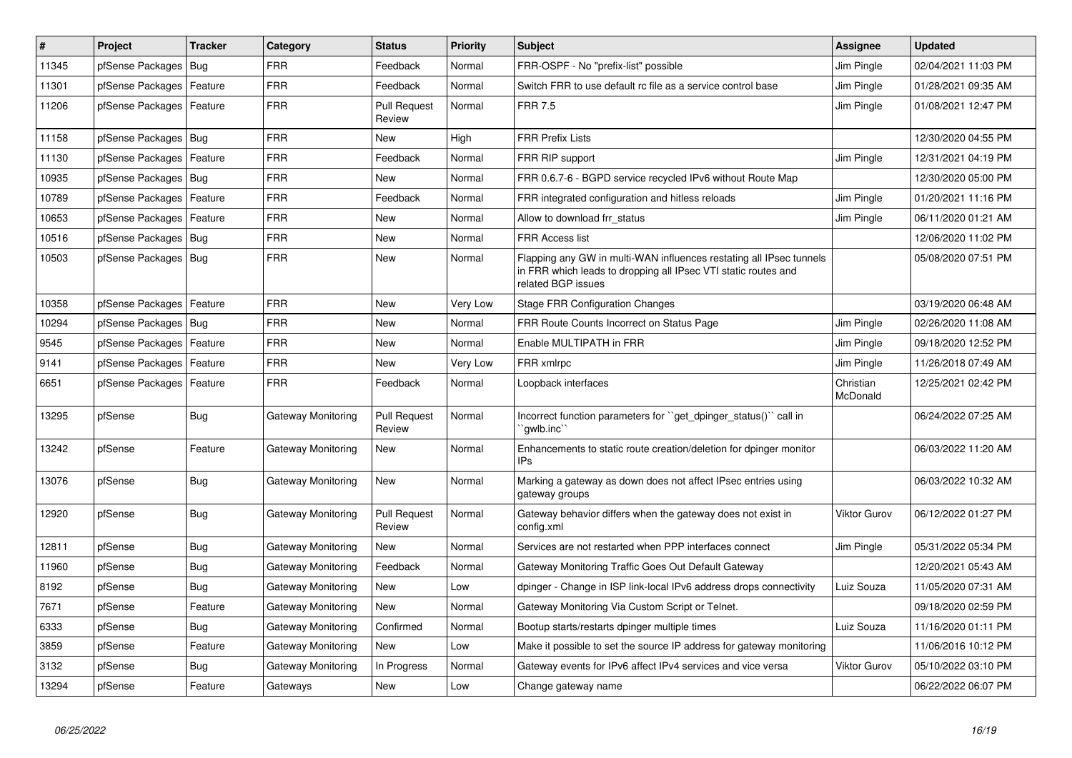| #     | <b>Project</b>             | <b>Tracker</b> | Category           | <b>Status</b>                 | <b>Priority</b> | <b>Subject</b>                                                                                                                                              | <b>Assignee</b>       | <b>Updated</b>      |
|-------|----------------------------|----------------|--------------------|-------------------------------|-----------------|-------------------------------------------------------------------------------------------------------------------------------------------------------------|-----------------------|---------------------|
| 11345 | pfSense Packages           | <b>Bug</b>     | <b>FRR</b>         | Feedback                      | Normal          | FRR-OSPF - No "prefix-list" possible                                                                                                                        | Jim Pingle            | 02/04/2021 11:03 PM |
| 11301 | pfSense Packages           | Feature        | <b>FRR</b>         | Feedback                      | Normal          | Switch FRR to use default rc file as a service control base                                                                                                 | Jim Pingle            | 01/28/2021 09:35 AM |
| 11206 | pfSense Packages           | Feature        | <b>FRR</b>         | <b>Pull Request</b><br>Review | Normal          | <b>FRR 7.5</b>                                                                                                                                              | Jim Pingle            | 01/08/2021 12:47 PM |
| 11158 | pfSense Packages           | Bug            | <b>FRR</b>         | <b>New</b>                    | High            | <b>FRR Prefix Lists</b>                                                                                                                                     |                       | 12/30/2020 04:55 PM |
| 11130 | pfSense Packages           | Feature        | <b>FRR</b>         | Feedback                      | Normal          | FRR RIP support                                                                                                                                             | Jim Pingle            | 12/31/2021 04:19 PM |
| 10935 | pfSense Packages           | Bug            | <b>FRR</b>         | <b>New</b>                    | Normal          | FRR 0.6.7-6 - BGPD service recycled IPv6 without Route Map                                                                                                  |                       | 12/30/2020 05:00 PM |
| 10789 | pfSense Packages           | Feature        | <b>FRR</b>         | Feedback                      | Normal          | FRR integrated configuration and hitless reloads                                                                                                            | Jim Pingle            | 01/20/2021 11:16 PM |
| 10653 | pfSense Packages           | Feature        | <b>FRR</b>         | <b>New</b>                    | Normal          | Allow to download frr status                                                                                                                                | Jim Pingle            | 06/11/2020 01:21 AM |
| 10516 | pfSense Packages           | Bug            | <b>FRR</b>         | <b>New</b>                    | Normal          | <b>FRR Access list</b>                                                                                                                                      |                       | 12/06/2020 11:02 PM |
| 10503 | pfSense Packages           | Bug            | <b>FRR</b>         | <b>New</b>                    | Normal          | Flapping any GW in multi-WAN influences restating all IPsec tunnels<br>in FRR which leads to dropping all IPsec VTI static routes and<br>related BGP issues |                       | 05/08/2020 07:51 PM |
| 10358 | pfSense Packages           | Feature        | <b>FRR</b>         | <b>New</b>                    | Very Low        | <b>Stage FRR Configuration Changes</b>                                                                                                                      |                       | 03/19/2020 06:48 AM |
| 10294 | pfSense Packages           | Bug            | <b>FRR</b>         | <b>New</b>                    | Normal          | FRR Route Counts Incorrect on Status Page                                                                                                                   | Jim Pingle            | 02/26/2020 11:08 AM |
| 9545  | pfSense Packages   Feature |                | <b>FRR</b>         | <b>New</b>                    | Normal          | Enable MULTIPATH in FRR                                                                                                                                     | Jim Pingle            | 09/18/2020 12:52 PM |
| 9141  | pfSense Packages           | Feature        | FRR                | <b>New</b>                    | Very Low        | FRR xmlrpc                                                                                                                                                  | Jim Pingle            | 11/26/2018 07:49 AM |
| 6651  | pfSense Packages           | Feature        | <b>FRR</b>         | Feedback                      | Normal          | Loopback interfaces                                                                                                                                         | Christian<br>McDonald | 12/25/2021 02:42 PM |
| 13295 | pfSense                    | <b>Bug</b>     | Gateway Monitoring | <b>Pull Request</b><br>Review | Normal          | Incorrect function parameters for ``get_dpinger_status()`` call in<br>`awlb.inc`                                                                            |                       | 06/24/2022 07:25 AM |
| 13242 | pfSense                    | Feature        | Gateway Monitoring | <b>New</b>                    | Normal          | Enhancements to static route creation/deletion for dpinger monitor<br><b>IPs</b>                                                                            |                       | 06/03/2022 11:20 AM |
| 13076 | pfSense                    | Bug            | Gateway Monitoring | New                           | Normal          | Marking a gateway as down does not affect IPsec entries using<br>gateway groups                                                                             |                       | 06/03/2022 10:32 AM |
| 12920 | pfSense                    | <b>Bug</b>     | Gateway Monitoring | <b>Pull Request</b><br>Review | Normal          | Gateway behavior differs when the gateway does not exist in<br>config.xml                                                                                   | <b>Viktor Gurov</b>   | 06/12/2022 01:27 PM |
| 12811 | pfSense                    | <b>Bug</b>     | Gateway Monitoring | <b>New</b>                    | Normal          | Services are not restarted when PPP interfaces connect                                                                                                      | Jim Pingle            | 05/31/2022 05:34 PM |
| 11960 | pfSense                    | <b>Bug</b>     | Gateway Monitoring | Feedback                      | Normal          | Gateway Monitoring Traffic Goes Out Default Gateway                                                                                                         |                       | 12/20/2021 05:43 AM |
| 8192  | pfSense                    | <b>Bug</b>     | Gateway Monitoring | <b>New</b>                    | Low             | dpinger - Change in ISP link-local IPv6 address drops connectivity                                                                                          | Luiz Souza            | 11/05/2020 07:31 AM |
| 7671  | pfSense                    | Feature        | Gateway Monitoring | <b>New</b>                    | Normal          | Gateway Monitoring Via Custom Script or Telnet.                                                                                                             |                       | 09/18/2020 02:59 PM |
| 6333  | pfSense                    | <b>Bug</b>     | Gateway Monitoring | Confirmed                     | Normal          | Bootup starts/restarts dpinger multiple times                                                                                                               | Luiz Souza            | 11/16/2020 01:11 PM |
| 3859  | pfSense                    | Feature        | Gateway Monitoring | <b>New</b>                    | Low             | Make it possible to set the source IP address for gateway monitoring                                                                                        |                       | 11/06/2016 10:12 PM |
| 3132  | pfSense                    | Bug            | Gateway Monitoring | In Progress                   | Normal          | Gateway events for IPv6 affect IPv4 services and vice versa                                                                                                 | <b>Viktor Gurov</b>   | 05/10/2022 03:10 PM |
| 13294 | pfSense                    | Feature        | Gateways           | <b>New</b>                    | Low             | Change gateway name                                                                                                                                         |                       | 06/22/2022 06:07 PM |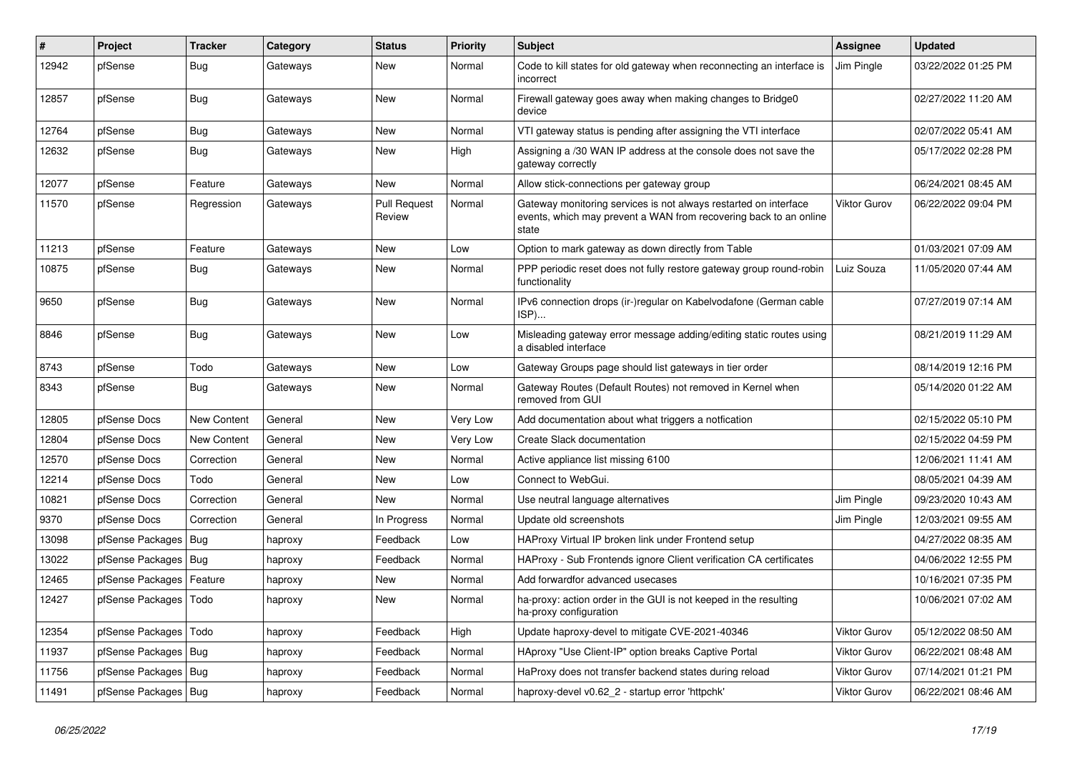| $\#$  | <b>Project</b>         | <b>Tracker</b>     | Category | <b>Status</b>                 | <b>Priority</b> | <b>Subject</b>                                                                                                                                 | Assignee            | <b>Updated</b>      |
|-------|------------------------|--------------------|----------|-------------------------------|-----------------|------------------------------------------------------------------------------------------------------------------------------------------------|---------------------|---------------------|
| 12942 | pfSense                | <b>Bug</b>         | Gateways | <b>New</b>                    | Normal          | Code to kill states for old gateway when reconnecting an interface is<br>incorrect                                                             | Jim Pingle          | 03/22/2022 01:25 PM |
| 12857 | pfSense                | Bug                | Gateways | <b>New</b>                    | Normal          | Firewall gateway goes away when making changes to Bridge0<br>device                                                                            |                     | 02/27/2022 11:20 AM |
| 12764 | pfSense                | <b>Bug</b>         | Gateways | <b>New</b>                    | Normal          | VTI gateway status is pending after assigning the VTI interface                                                                                |                     | 02/07/2022 05:41 AM |
| 12632 | pfSense                | Bug                | Gateways | <b>New</b>                    | High            | Assigning a /30 WAN IP address at the console does not save the<br>gateway correctly                                                           |                     | 05/17/2022 02:28 PM |
| 12077 | pfSense                | Feature            | Gateways | <b>New</b>                    | Normal          | Allow stick-connections per gateway group                                                                                                      |                     | 06/24/2021 08:45 AM |
| 11570 | pfSense                | Regression         | Gateways | <b>Pull Request</b><br>Review | Normal          | Gateway monitoring services is not always restarted on interface<br>events, which may prevent a WAN from recovering back to an online<br>state | <b>Viktor Gurov</b> | 06/22/2022 09:04 PM |
| 11213 | pfSense                | Feature            | Gateways | <b>New</b>                    | Low             | Option to mark gateway as down directly from Table                                                                                             |                     | 01/03/2021 07:09 AM |
| 10875 | pfSense                | <b>Bug</b>         | Gateways | <b>New</b>                    | Normal          | PPP periodic reset does not fully restore gateway group round-robin<br>functionality                                                           | Luiz Souza          | 11/05/2020 07:44 AM |
| 9650  | pfSense                | <b>Bug</b>         | Gateways | <b>New</b>                    | Normal          | IPv6 connection drops (ir-)regular on Kabelvodafone (German cable<br>$ISP)$                                                                    |                     | 07/27/2019 07:14 AM |
| 8846  | pfSense                | <b>Bug</b>         | Gateways | New                           | Low             | Misleading gateway error message adding/editing static routes using<br>a disabled interface                                                    |                     | 08/21/2019 11:29 AM |
| 8743  | pfSense                | Todo               | Gateways | New                           | Low             | Gateway Groups page should list gateways in tier order                                                                                         |                     | 08/14/2019 12:16 PM |
| 8343  | pfSense                | Bug                | Gateways | <b>New</b>                    | Normal          | Gateway Routes (Default Routes) not removed in Kernel when<br>removed from GUI                                                                 |                     | 05/14/2020 01:22 AM |
| 12805 | pfSense Docs           | <b>New Content</b> | General  | New                           | <b>Very Low</b> | Add documentation about what triggers a notfication                                                                                            |                     | 02/15/2022 05:10 PM |
| 12804 | pfSense Docs           | New Content        | General  | <b>New</b>                    | Very Low        | Create Slack documentation                                                                                                                     |                     | 02/15/2022 04:59 PM |
| 12570 | pfSense Docs           | Correction         | General  | <b>New</b>                    | Normal          | Active appliance list missing 6100                                                                                                             |                     | 12/06/2021 11:41 AM |
| 12214 | pfSense Docs           | Todo               | General  | New                           | Low             | Connect to WebGui.                                                                                                                             |                     | 08/05/2021 04:39 AM |
| 10821 | pfSense Docs           | Correction         | General  | New                           | Normal          | Use neutral language alternatives                                                                                                              | Jim Pingle          | 09/23/2020 10:43 AM |
| 9370  | pfSense Docs           | Correction         | General  | In Progress                   | Normal          | Update old screenshots                                                                                                                         | Jim Pingle          | 12/03/2021 09:55 AM |
| 13098 | pfSense Packages       | Bug                | haproxy  | Feedback                      | Low             | HAProxy Virtual IP broken link under Frontend setup                                                                                            |                     | 04/27/2022 08:35 AM |
| 13022 | pfSense Packages   Bug |                    | haproxy  | Feedback                      | Normal          | HAProxy - Sub Frontends ignore Client verification CA certificates                                                                             |                     | 04/06/2022 12:55 PM |
| 12465 | pfSense Packages       | Feature            | haproxy  | <b>New</b>                    | Normal          | Add forwardfor advanced usecases                                                                                                               |                     | 10/16/2021 07:35 PM |
| 12427 | pfSense Packages       | Todo               | haproxy  | <b>New</b>                    | Normal          | ha-proxy: action order in the GUI is not keeped in the resulting<br>ha-proxy configuration                                                     |                     | 10/06/2021 07:02 AM |
| 12354 | pfSense Packages       | Todo               | haproxy  | Feedback                      | High            | Update haproxy-devel to mitigate CVE-2021-40346                                                                                                | <b>Viktor Gurov</b> | 05/12/2022 08:50 AM |
| 11937 | pfSense Packages   Bug |                    | haproxy  | Feedback                      | Normal          | HAproxy "Use Client-IP" option breaks Captive Portal                                                                                           | Viktor Gurov        | 06/22/2021 08:48 AM |
| 11756 | pfSense Packages   Bug |                    | haproxy  | Feedback                      | Normal          | HaProxy does not transfer backend states during reload                                                                                         | <b>Viktor Gurov</b> | 07/14/2021 01:21 PM |
| 11491 | pfSense Packages   Bug |                    | haproxy  | Feedback                      | Normal          | haproxy-devel v0.62 2 - startup error 'httpchk'                                                                                                | Viktor Gurov        | 06/22/2021 08:46 AM |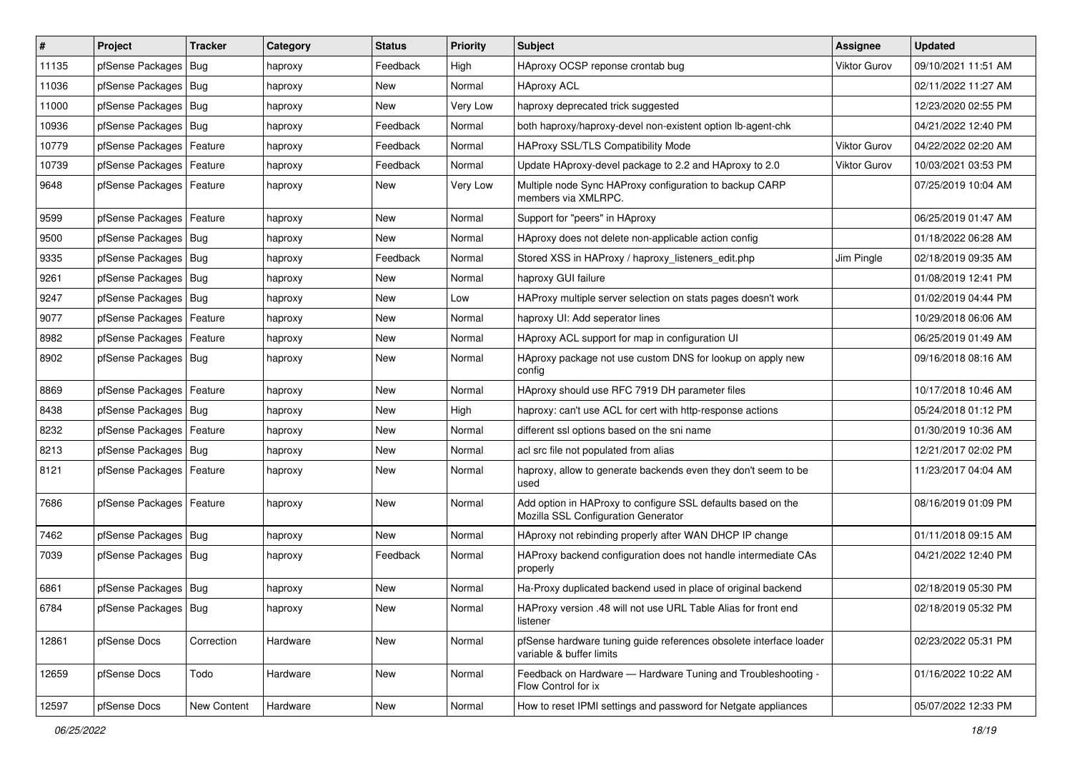| $\vert$ # | Project                    | <b>Tracker</b> | Category | <b>Status</b> | <b>Priority</b> | Subject                                                                                             | Assignee            | <b>Updated</b>      |
|-----------|----------------------------|----------------|----------|---------------|-----------------|-----------------------------------------------------------------------------------------------------|---------------------|---------------------|
| 11135     | pfSense Packages           | Bug            | haproxy  | Feedback      | High            | HAproxy OCSP reponse crontab bug                                                                    | <b>Viktor Gurov</b> | 09/10/2021 11:51 AM |
| 11036     | pfSense Packages   Bug     |                | haproxy  | New           | Normal          | <b>HAproxy ACL</b>                                                                                  |                     | 02/11/2022 11:27 AM |
| 11000     | pfSense Packages   Bug     |                | haproxy  | New           | Very Low        | haproxy deprecated trick suggested                                                                  |                     | 12/23/2020 02:55 PM |
| 10936     | pfSense Packages   Bug     |                | haproxy  | Feedback      | Normal          | both haproxy/haproxy-devel non-existent option lb-agent-chk                                         |                     | 04/21/2022 12:40 PM |
| 10779     | pfSense Packages           | Feature        | haproxy  | Feedback      | Normal          | HAProxy SSL/TLS Compatibility Mode                                                                  | Viktor Gurov        | 04/22/2022 02:20 AM |
| 10739     | pfSense Packages           | Feature        | haproxy  | Feedback      | Normal          | Update HAproxy-devel package to 2.2 and HAproxy to 2.0                                              | <b>Viktor Gurov</b> | 10/03/2021 03:53 PM |
| 9648      | pfSense Packages   Feature |                | haproxy  | New           | Very Low        | Multiple node Sync HAProxy configuration to backup CARP<br>members via XMLRPC.                      |                     | 07/25/2019 10:04 AM |
| 9599      | pfSense Packages   Feature |                | haproxy  | New           | Normal          | Support for "peers" in HAproxy                                                                      |                     | 06/25/2019 01:47 AM |
| 9500      | pfSense Packages   Bug     |                | haproxy  | <b>New</b>    | Normal          | HAproxy does not delete non-applicable action config                                                |                     | 01/18/2022 06:28 AM |
| 9335      | pfSense Packages   Bug     |                | haproxy  | Feedback      | Normal          | Stored XSS in HAProxy / haproxy listeners edit.php                                                  | Jim Pingle          | 02/18/2019 09:35 AM |
| 9261      | pfSense Packages   Bug     |                | haproxy  | New           | Normal          | haproxy GUI failure                                                                                 |                     | 01/08/2019 12:41 PM |
| 9247      | pfSense Packages           | Bug            | haproxy  | New           | Low             | HAProxy multiple server selection on stats pages doesn't work                                       |                     | 01/02/2019 04:44 PM |
| 9077      | pfSense Packages           | Feature        | haproxy  | New           | Normal          | haproxy UI: Add seperator lines                                                                     |                     | 10/29/2018 06:06 AM |
| 8982      | pfSense Packages           | Feature        | haproxy  | New           | Normal          | HAproxy ACL support for map in configuration UI                                                     |                     | 06/25/2019 01:49 AM |
| 8902      | pfSense Packages   Bug     |                | haproxy  | New           | Normal          | HAproxy package not use custom DNS for lookup on apply new<br>config                                |                     | 09/16/2018 08:16 AM |
| 8869      | pfSense Packages           | Feature        | haproxy  | <b>New</b>    | Normal          | HAproxy should use RFC 7919 DH parameter files                                                      |                     | 10/17/2018 10:46 AM |
| 8438      | pfSense Packages   Bug     |                | haproxy  | New           | High            | haproxy: can't use ACL for cert with http-response actions                                          |                     | 05/24/2018 01:12 PM |
| 8232      | pfSense Packages   Feature |                | haproxy  | New           | Normal          | different ssl options based on the sni name                                                         |                     | 01/30/2019 10:36 AM |
| 8213      | pfSense Packages           | Bug            | haproxy  | <b>New</b>    | Normal          | acl src file not populated from alias                                                               |                     | 12/21/2017 02:02 PM |
| 8121      | pfSense Packages   Feature |                | haproxy  | New           | Normal          | haproxy, allow to generate backends even they don't seem to be<br>used                              |                     | 11/23/2017 04:04 AM |
| 7686      | pfSense Packages   Feature |                | haproxy  | New           | Normal          | Add option in HAProxy to configure SSL defaults based on the<br>Mozilla SSL Configuration Generator |                     | 08/16/2019 01:09 PM |
| 7462      | pfSense Packages   Bug     |                | haproxy  | <b>New</b>    | Normal          | HAproxy not rebinding properly after WAN DHCP IP change                                             |                     | 01/11/2018 09:15 AM |
| 7039      | pfSense Packages   Bug     |                | haproxy  | Feedback      | Normal          | HAProxy backend configuration does not handle intermediate CAs<br>properly                          |                     | 04/21/2022 12:40 PM |
| 6861      | pfSense Packages   Bug     |                | haproxy  | <b>New</b>    | Normal          | Ha-Proxy duplicated backend used in place of original backend                                       |                     | 02/18/2019 05:30 PM |
| 6784      | pfSense Packages   Bug     |                | haproxy  | New           | Normal          | HAProxy version .48 will not use URL Table Alias for front end<br>listener                          |                     | 02/18/2019 05:32 PM |
| 12861     | pfSense Docs               | Correction     | Hardware | New           | Normal          | pfSense hardware tuning guide references obsolete interface loader<br>variable & buffer limits      |                     | 02/23/2022 05:31 PM |
| 12659     | pfSense Docs               | Todo           | Hardware | New           | Normal          | Feedback on Hardware - Hardware Tuning and Troubleshooting -<br>Flow Control for ix                 |                     | 01/16/2022 10:22 AM |
| 12597     | pfSense Docs               | New Content    | Hardware | New           | Normal          | How to reset IPMI settings and password for Netgate appliances                                      |                     | 05/07/2022 12:33 PM |